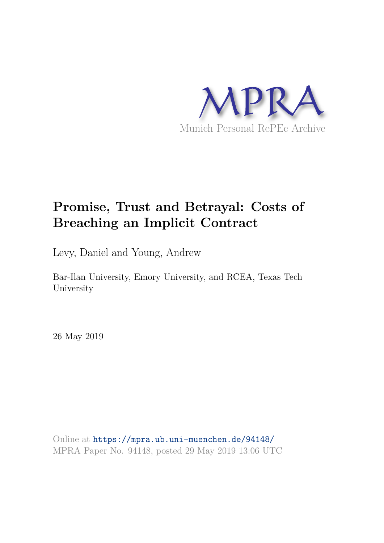

### **Promise, Trust and Betrayal: Costs of Breaching an Implicit Contract**

Levy, Daniel and Young, Andrew

Bar-Ilan University, Emory University, and RCEA, Texas Tech University

26 May 2019

Online at https://mpra.ub.uni-muenchen.de/94148/ MPRA Paper No. 94148, posted 29 May 2019 13:06 UTC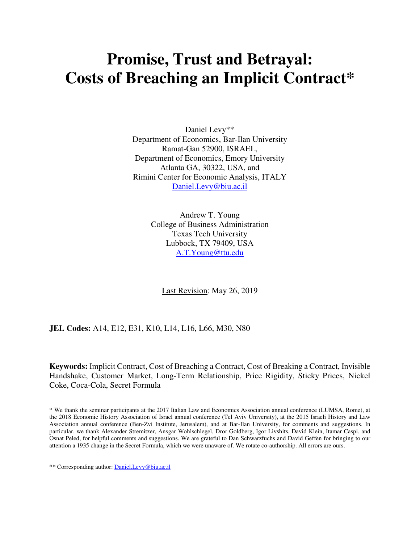## **Promise, Trust and Betrayal: Costs of Breaching an Implicit Contract\***

Daniel Levy\*\* Department of Economics, Bar-Ilan University Ramat-Gan 52900, ISRAEL, Department of Economics, Emory University Atlanta GA, 30322, USA, and Rimini Center for Economic Analysis, ITALY Daniel.Levy@biu.ac.il

> Andrew T. Young College of Business Administration Texas Tech University Lubbock, TX 79409, USA A.T.Young@ttu.edu

Last Revision: May 26, 2019

#### **JEL Codes:** A14, E12, E31, K10, L14, L16, L66, M30, N80

**Keywords:** Implicit Contract, Cost of Breaching a Contract, Cost of Breaking a Contract, Invisible Handshake, Customer Market, Long-Term Relationship, Price Rigidity, Sticky Prices, Nickel Coke, Coca-Cola, Secret Formula

\* We thank the seminar participants at the 2017 Italian Law and Economics Association annual conference (LUMSA, Rome), at the 2018 Economic History Association of Israel annual conference (Tel Aviv University), at the 2015 Israeli History and Law Association annual conference (Ben-Zvi Institute, Jerusalem), and at Bar-Ilan University, for comments and suggestions. In particular, we thank Alexander Stremitzer, Ansgar Wohlschlegel, Dror Goldberg, Igor Livshits, David Klein, Itamar Caspi, and Osnat Peled, for helpful comments and suggestions. We are grateful to Dan Schwarzfuchs and David Geffen for bringing to our attention a 1935 change in the Secret Formula, which we were unaware of. We rotate co-authorship. All errors are ours.

**\*\*** Corresponding author: Daniel.Levy@biu.ac.il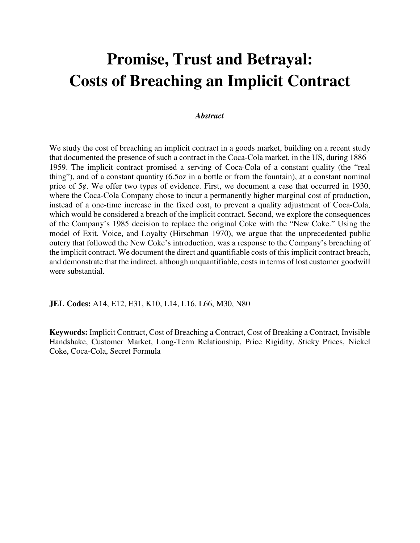# **Promise, Trust and Betrayal: Costs of Breaching an Implicit Contract**

#### *Abstract*

We study the cost of breaching an implicit contract in a goods market, building on a recent study that documented the presence of such a contract in the Coca-Cola market, in the US, during 1886– 1959. The implicit contract promised a serving of Coca-Cola of a constant quality (the "real thing"), and of a constant quantity (6.5oz in a bottle or from the fountain), at a constant nominal price of 5¢. We offer two types of evidence. First, we document a case that occurred in 1930, where the Coca-Cola Company chose to incur a permanently higher marginal cost of production, instead of a one-time increase in the fixed cost, to prevent a quality adjustment of Coca-Cola, which would be considered a breach of the implicit contract. Second, we explore the consequences of the Company's 1985 decision to replace the original Coke with the "New Coke." Using the model of Exit, Voice, and Loyalty (Hirschman 1970), we argue that the unprecedented public outcry that followed the New Coke's introduction, was a response to the Company's breaching of the implicit contract. We document the direct and quantifiable costs of this implicit contract breach, and demonstrate that the indirect, although unquantifiable, costs in terms of lost customer goodwill were substantial.

**JEL Codes:** A14, E12, E31, K10, L14, L16, L66, M30, N80

**Keywords:** Implicit Contract, Cost of Breaching a Contract, Cost of Breaking a Contract, Invisible Handshake, Customer Market, Long-Term Relationship, Price Rigidity, Sticky Prices, Nickel Coke, Coca-Cola, Secret Formula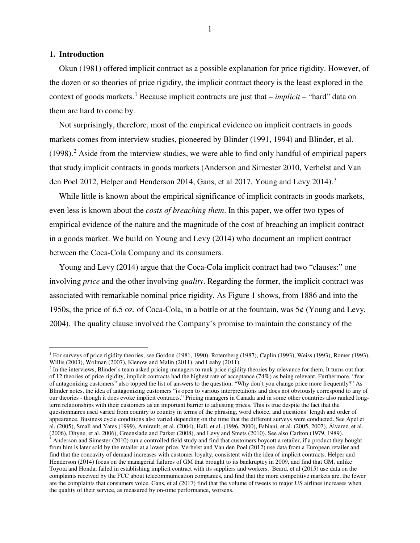#### **1. Introduction**

 $\overline{a}$ 

Okun (1981) offered implicit contract as a possible explanation for price rigidity. However, of the dozen or so theories of price rigidity, the implicit contract theory is the least explored in the context of goods markets.<sup>[1](#page-3-0)</sup> Because implicit contracts are just that – *implicit* – "hard" data on them are hard to come by.

Not surprisingly, therefore, most of the empirical evidence on implicit contracts in goods markets comes from interview studies, pioneered by Blinder (1991, 1994) and Blinder, et al.  $(1998).$ <sup>[2](#page-3-1)</sup> Aside from the interview studies, we were able to find only handful of empirical papers that study implicit contracts in goods markets (Anderson and Simester 2010, Verhelst and Van den Poel 2012, Helper and Henderson 2014, Gans, et al 2017, Young and Levy 2014).<sup>[3](#page-3-2)</sup>

While little is known about the empirical significance of implicit contracts in goods markets, even less is known about the *costs of breaching them*. In this paper, we offer two types of empirical evidence of the nature and the magnitude of the cost of breaching an implicit contract in a goods market. We build on Young and Levy (2014) who document an implicit contract between the Coca-Cola Company and its consumers.

Young and Levy (2014) argue that the Coca-Cola implicit contract had two "clauses:" one involving *price* and the other involving *quality*. Regarding the former, the implicit contract was associated with remarkable nominal price rigidity. As Figure 1 shows, from 1886 and into the 1950s, the price of 6.5 oz. of Coca-Cola, in a bottle or at the fountain, was 5¢ (Young and Levy, 2004). The quality clause involved the Company's promise to maintain the constancy of the

<span id="page-3-0"></span><sup>&</sup>lt;sup>1</sup> For surveys of price rigidity theories, see Gordon (1981, 1990), Rotemberg (1987), Caplin (1993), Weiss (1993), Romer (1993), Willis (2003), Wolman (2007), Klenow and Malin (2011), and Leahy (2011).

<span id="page-3-2"></span><span id="page-3-1"></span><sup>&</sup>lt;sup>2</sup> In the interviews, Blinder's team asked pricing managers to rank price rigidity theories by relevance for them. It turns out that of 12 theories of price rigidity, implicit contracts had the highest rate of acceptance (74%) as being relevant. Furthermore, "fear of antagonizing customers" also topped the list of answers to the question: "Why don't you change price more frequently?" As Blinder notes, the idea of antagonizing customers "is open to various interpretations and does not obviously correspond to any of our theories - though it does evoke implicit contracts." Pricing managers in Canada and in some other countries also ranked longterm relationships with their customers as an important barrier to adjusting prices. This is true despite the fact that the questionnaires used varied from country to country in terms of the phrasing, word choice, and questions' length and order of appearance. Business cycle conditions also varied depending on the time that the different surveys were conducted. See Apel et al. (2005), Small and Yates (1999), Amirault, et al. (2004), Hall, et al. (1996, 2000), Fabiani, et al. (2005, 2007), Álvarez, et al. (2006), Dhyne, et al. 2006), Greenslade and Parker (2008), and Levy and Smets (2010). See also Carlton (1979, 1989).  $3$  Anderson and Simester (2010) run a controlled field study and find that customers boycott a retailer, if a product they bought from him is later sold by the retailer at a lower price. Verhelst and Van den Poel (2012) use data from a European retailer and find that the concavity of demand increases with customer loyalty, consistent with the idea of implicit contracts. Helper and Henderson (2014) focus on the managerial failures of GM that brought to its bankruptcy in 2009, and find that GM, unlike Toyota and Honda, failed in establishing implicit contract with its suppliers and workers. Beard, et al (2015) use data on the complaints received by the FCC about telecommunication companies, and find that the more competitive markets are, the fewer are the complaints that consumers voice. Gans, et al (2017) find that the volume of tweets to major US airlines increases when the quality of their service, as measured by on-time performance, worsens.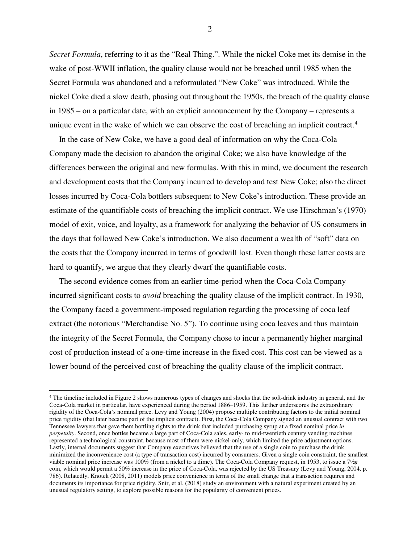*Secret Formula*, referring to it as the "Real Thing.". While the nickel Coke met its demise in the wake of post-WWII inflation, the quality clause would not be breached until 1985 when the Secret Formula was abandoned and a reformulated "New Coke" was introduced. While the nickel Coke died a slow death, phasing out throughout the 1950s, the breach of the quality clause in 1985 – on a particular date, with an explicit announcement by the Company – represents a unique event in the wake of which we can observe the cost of breaching an implicit contract.<sup>[4](#page-4-0)</sup>

In the case of New Coke, we have a good deal of information on why the Coca-Cola Company made the decision to abandon the original Coke; we also have knowledge of the differences between the original and new formulas. With this in mind, we document the research and development costs that the Company incurred to develop and test New Coke; also the direct losses incurred by Coca-Cola bottlers subsequent to New Coke's introduction. These provide an estimate of the quantifiable costs of breaching the implicit contract. We use Hirschman's (1970) model of exit, voice, and loyalty, as a framework for analyzing the behavior of US consumers in the days that followed New Coke's introduction. We also document a wealth of "soft" data on the costs that the Company incurred in terms of goodwill lost. Even though these latter costs are hard to quantify, we argue that they clearly dwarf the quantifiable costs.

The second evidence comes from an earlier time-period when the Coca-Cola Company incurred significant costs to *avoid* breaching the quality clause of the implicit contract. In 1930, the Company faced a government-imposed regulation regarding the processing of coca leaf extract (the notorious "Merchandise No. 5"). To continue using coca leaves and thus maintain the integrity of the Secret Formula, the Company chose to incur a permanently higher marginal cost of production instead of a one-time increase in the fixed cost. This cost can be viewed as a lower bound of the perceived cost of breaching the quality clause of the implicit contract.

 $\overline{a}$ 

<span id="page-4-0"></span><sup>4</sup> The timeline included in Figure 2 shows numerous types of changes and shocks that the soft-drink industry in general, and the Coca-Cola market in particular, have experienced during the period 1886–1959. This further underscores the extraordinary rigidity of the Coca-Cola's nominal price. Levy and Young (2004) propose multiple contributing factors to the initial nominal price rigidity (that later became part of the implicit contract). First, the Coca-Cola Company signed an unusual contract with two Tennessee lawyers that gave them bottling rights to the drink that included purchasing syrup at a fixed nominal price *in perpetuity*. Second, once bottles became a large part of Coca-Cola sales, early- to mid-twentieth century vending machines represented a technological constraint, because most of them were nickel-only, which limited the price adjustment options. Lastly, internal documents suggest that Company executives believed that the use of a single coin to purchase the drink minimized the inconvenience cost (a type of transaction cost) incurred by consumers. Given a single coin constraint, the smallest viable nominal price increase was 100% (from a nickel to a dime). The Coca-Cola Company request, in 1953, to issue a  $7\frac{1}{2}$ coin, which would permit a 50% increase in the price of Coca-Cola, was rejected by the US Treasury (Levy and Young, 2004, p. 786). Relatedly, Knotek (2008, 2011) models price convenience in terms of the small change that a transaction requires and documents its importance for price rigidity. Snir, et al. (2018) study an environment with a natural experiment created by an unusual regulatory setting, to explore possible reasons for the popularity of convenient prices.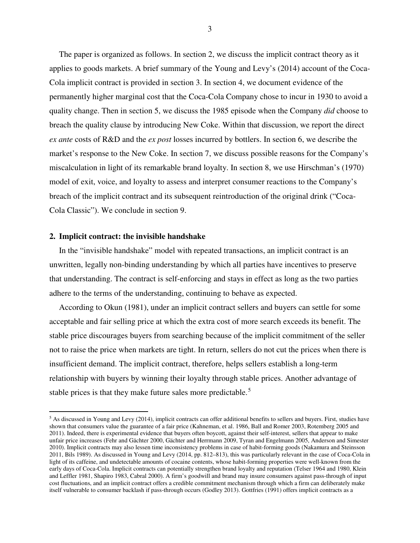The paper is organized as follows. In section 2, we discuss the implicit contract theory as it applies to goods markets. A brief summary of the Young and Levy's (2014) account of the Coca-Cola implicit contract is provided in section 3. In section 4, we document evidence of the permanently higher marginal cost that the Coca-Cola Company chose to incur in 1930 to avoid a quality change. Then in section 5, we discuss the 1985 episode when the Company *did* choose to breach the quality clause by introducing New Coke. Within that discussion, we report the direct *ex ante* costs of R&D and the *ex post* losses incurred by bottlers. In section 6, we describe the market's response to the New Coke. In section 7, we discuss possible reasons for the Company's miscalculation in light of its remarkable brand loyalty. In section 8, we use Hirschman's (1970) model of exit, voice, and loyalty to assess and interpret consumer reactions to the Company's breach of the implicit contract and its subsequent reintroduction of the original drink ("Coca-Cola Classic"). We conclude in section 9.

#### **2. Implicit contract: the invisible handshake**

 $\overline{a}$ 

In the "invisible handshake" model with repeated transactions, an implicit contract is an unwritten, legally non-binding understanding by which all parties have incentives to preserve that understanding. The contract is self-enforcing and stays in effect as long as the two parties adhere to the terms of the understanding, continuing to behave as expected.

According to Okun (1981), under an implicit contract sellers and buyers can settle for some acceptable and fair selling price at which the extra cost of more search exceeds its benefit. The stable price discourages buyers from searching because of the implicit commitment of the seller not to raise the price when markets are tight. In return, sellers do not cut the prices when there is insufficient demand. The implicit contract, therefore, helps sellers establish a long-term relationship with buyers by winning their loyalty through stable prices. Another advantage of stable prices is that they make future sales more predictable.<sup>[5](#page-5-0)</sup>

<span id="page-5-0"></span><sup>&</sup>lt;sup>5</sup> As discussed in Young and Levy (2014), implicit contracts can offer additional benefits to sellers and buyers. First, studies have shown that consumers value the guarantee of a fair price (Kahneman, et al. 1986, Ball and Romer 2003, Rotemberg 2005 and 2011). Indeed, there is experimental evidence that buyers often boycott, against their self-interest, sellers that appear to make unfair price increases (Fehr and Gächter 2000, Gächter and Herrmann 2009, Tyran and Engelmann 2005, Anderson and Simester 2010). Implicit contracts may also lessen time inconsistency problems in case of habit-forming goods (Nakamura and Steinsson 2011, Bils 1989). As discussed in Young and Levy (2014, pp. 812–813), this was particularly relevant in the case of Coca-Cola in light of its caffeine, and undetectable amounts of cocaine contents, whose habit-forming properties were well-known from the early days of Coca-Cola. Implicit contracts can potentially strengthen brand loyalty and reputation (Telser 1964 and 1980, Klein and Leffler 1981, Shapiro 1983, Cabral 2000). A firm's goodwill and brand may insure consumers against pass-through of input cost fluctuations, and an implicit contract offers a credible commitment mechanism through which a firm can deliberately make itself vulnerable to consumer backlash if pass-through occurs (Godley 2013). Gottfries (1991) offers implicit contracts as a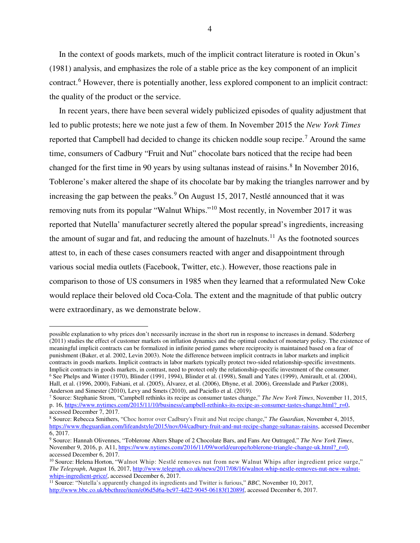In the context of goods markets, much of the implicit contract literature is rooted in Okun's (1981) analysis, and emphasizes the role of a stable price as the key component of an implicit contract.<sup>[6](#page-6-0)</sup> However, there is potentially another, less explored component to an implicit contract: the quality of the product or the service.

In recent years, there have been several widely publicized episodes of quality adjustment that led to public protests; here we note just a few of them. In November 2015 the *New York Times* reported that Campbell had decided to change its chicken noddle soup recipe.<sup>[7](#page-6-1)</sup> Around the same time, consumers of Cadbury "Fruit and Nut" chocolate bars noticed that the recipe had been changed for the first time in 90 years by using sultanas instead of raisins.<sup>[8](#page-6-2)</sup> In November 2016, Toblerone's maker altered the shape of its chocolate bar by making the triangles narrower and by increasing the gap between the peaks.  $9$  On August 15, 2017, Nestlé announced that it was removing nuts from its popular "Walnut Whips."[10](#page-6-4) Most recently, in November 2017 it was reported that Nutella' manufacturer secretly altered the popular spread's ingredients, increasing the amount of sugar and fat, and reducing the amount of hazelnuts.<sup>[11](#page-6-5)</sup> As the footnoted sources attest to, in each of these cases consumers reacted with anger and disappointment through various social media outlets (Facebook, Twitter, etc.). However, those reactions pale in comparison to those of US consumers in 1985 when they learned that a reformulated New Coke would replace their beloved old Coca-Cola. The extent and the magnitude of that public outcry were extraordinary, as we demonstrate below.

possible explanation to why prices don't necessarily increase in the short run in response to increases in demand. Söderberg (2011) studies the effect of customer markets on inflation dynamics and the optimal conduct of monetary policy. The existence of meaningful implicit contracts can be formalized in infinite period games where reciprocity is maintained based on a fear of punishment (Baker, et al. 2002, Levin 2003). Note the difference between implicit contracts in labor markets and implicit contracts in goods markets. Implicit contracts in labor markets typically protect two-sided relationship-specific investments. Implicit contracts in goods markets, in contrast, need to protect only the relationship-specific investment of the consumer. <sup>6</sup> See Phelps and Winter (1970), Blinder (1991, 1994), Blinder et al. (1998), Small and Yates (1999), Amirault, et al. (2004), Hall, et al. (1996, 2000), Fabiani, et al. (2005), Álvarez, et al. (2006), Dhyne, et al. 2006), Greenslade and Parker (2008), Anderson and Simester (2010), Levy and Smets (2010), and Paciello et al. (2019).

<span id="page-6-1"></span><span id="page-6-0"></span><sup>7</sup> Source: Stephanie Strom, "Campbell rethinks its recipe as consumer tastes change," *The New York Times*, November 11, 2015, p. 16, https://www.nytimes.com/2015/11/10/business/campbell-rethinks-its-recipe-as-consumer-tastes-change.html? r=0, accessed December 7, 2017.

<span id="page-6-2"></span><sup>8</sup> Source: Rebecca Smithers, "Choc horror over Cadbury's Fruit and Nut recipe change," *The Guardian*, November 4, 2015, https://www.theguardian.com/lifeandstyle/2015/nov/04/cadbury-fruit-and-nut-recipe-change-sultanas-raisins, accessed December 6, 2017.

<span id="page-6-3"></span><sup>9</sup> Source: Hannah Olivennes, "Toblerone Alters Shape of 2 Chocolate Bars, and Fans Are Outraged," *The New York Times*, November 9, 2016, p. A11, https://www.nytimes.com/2016/11/09/world/europe/toblerone-triangle-change-uk.html? r=0, accessed December 6, 2017.

<span id="page-6-4"></span><sup>10</sup> Source: Helena Horton, "Walnot Whip: Nestlé removes nut from new Walnut Whips after ingredient price surge," *The Telegraph*, August 16, 2017, http://www.telegraph.co.uk/news/2017/08/16/walnot-whip-nestle-removes-nut-new-walnutwhips-ingredient-price/, accessed December 6, 2017.

<span id="page-6-5"></span><sup>11</sup> Source: "Nutella's apparently changed its ingredients and Twitter is furious," *BBC*, November 10, 2017, http://www.bbc.co.uk/bbcthree/item/e06d5d6a-bc97-4d22-9045-06183f12089f, accessed December 6, 2017.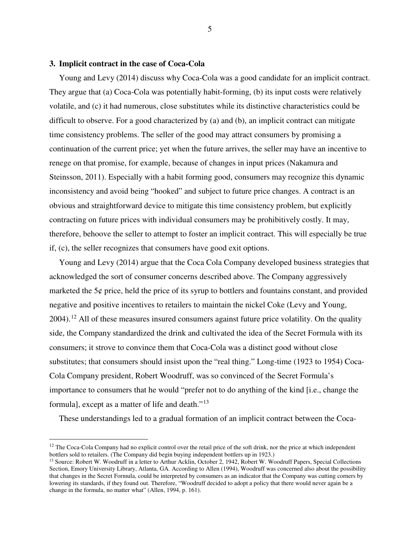#### **3. Implicit contract in the case of Coca-Cola**

 $\overline{a}$ 

Young and Levy (2014) discuss why Coca-Cola was a good candidate for an implicit contract. They argue that (a) Coca-Cola was potentially habit-forming, (b) its input costs were relatively volatile, and (c) it had numerous, close substitutes while its distinctive characteristics could be difficult to observe. For a good characterized by (a) and (b), an implicit contract can mitigate time consistency problems. The seller of the good may attract consumers by promising a continuation of the current price; yet when the future arrives, the seller may have an incentive to renege on that promise, for example, because of changes in input prices (Nakamura and Steinsson, 2011). Especially with a habit forming good, consumers may recognize this dynamic inconsistency and avoid being "hooked" and subject to future price changes. A contract is an obvious and straightforward device to mitigate this time consistency problem, but explicitly contracting on future prices with individual consumers may be prohibitively costly. It may, therefore, behoove the seller to attempt to foster an implicit contract. This will especially be true if, (c), the seller recognizes that consumers have good exit options.

Young and Levy (2014) argue that the Coca Cola Company developed business strategies that acknowledged the sort of consumer concerns described above. The Company aggressively marketed the  $5¢$  price, held the price of its syrup to bottlers and fountains constant, and provided negative and positive incentives to retailers to maintain the nickel Coke (Levy and Young,  $2004$ ).<sup>[12](#page-7-0)</sup> All of these measures insured consumers against future price volatility. On the quality side, the Company standardized the drink and cultivated the idea of the Secret Formula with its consumers; it strove to convince them that Coca-Cola was a distinct good without close substitutes; that consumers should insist upon the "real thing." Long-time (1923 to 1954) Coca-Cola Company president, Robert Woodruff, was so convinced of the Secret Formula's importance to consumers that he would "prefer not to do anything of the kind [i.e., change the formula], except as a matter of life and death."<sup>[13](#page-7-1)</sup>

These understandings led to a gradual formation of an implicit contract between the Coca-

<span id="page-7-0"></span> $12$  The Coca-Cola Company had no explicit control over the retail price of the soft drink, nor the price at which independent bottlers sold to retailers. (The Company did begin buying independent bottlers up in 1923.)

<span id="page-7-1"></span><sup>&</sup>lt;sup>13</sup> Source: Robert W. Woodruff in a letter to Arthur Acklin, October 2, 1942, Robert W. Woodruff Papers, Special Collections Section, Emory University Library, Atlanta, GA. According to Allen (1994), Woodruff was concerned also about the possibility that changes in the Secret Formula, could be interpreted by consumers as an indicator that the Company was cutting corners by lowering its standards, if they found out. Therefore, "Woodruff decided to adopt a policy that there would never again be a change in the formula, no matter what" (Allen, 1994, p. 161).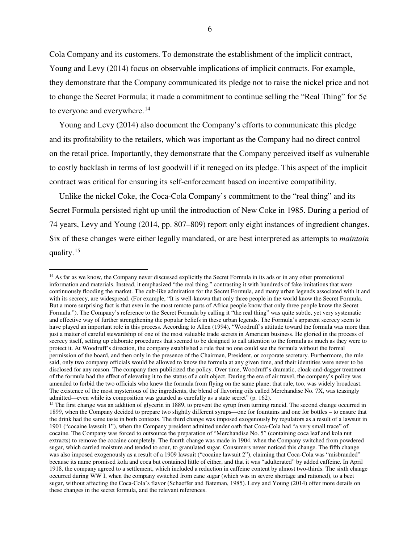Cola Company and its customers. To demonstrate the establishment of the implicit contract, Young and Levy (2014) focus on observable implications of implicit contracts. For example, they demonstrate that the Company communicated its pledge not to raise the nickel price and not to change the Secret Formula; it made a commitment to continue selling the "Real Thing" for  $5\phi$ to everyone and everywhere.<sup>[14](#page-8-0)</sup>

Young and Levy (2014) also document the Company's efforts to communicate this pledge and its profitability to the retailers, which was important as the Company had no direct control on the retail price. Importantly, they demonstrate that the Company perceived itself as vulnerable to costly backlash in terms of lost goodwill if it reneged on its pledge. This aspect of the implicit contract was critical for ensuring its self-enforcement based on incentive compatibility.

Unlike the nickel Coke, the Coca-Cola Company's commitment to the "real thing" and its Secret Formula persisted right up until the introduction of New Coke in 1985. During a period of 74 years, Levy and Young (2014, pp. 807–809) report only eight instances of ingredient changes. Six of these changes were either legally mandated, or are best interpreted as attempts to *maintain*  quality.<sup>[15](#page-8-1)</sup>

<span id="page-8-0"></span><sup>&</sup>lt;sup>14</sup> As far as we know, the Company never discussed explicitly the Secret Formula in its ads or in any other promotional information and materials. Instead, it emphasized "the real thing," contrasting it with hundreds of fake imitations that were continuously flooding the market. The cult-like admiration for the Secret Formula, and many urban legends associated with it and with its secrecy, are widespread. (For example, "It is well-known that only three people in the world know the Secret Formula. But a more surprising fact is that even in the most remote parts of Africa people know that only three people know the Secret Formula."). The Company's reference to the Secret Formula by calling it "the real thing" was quite subtle, yet very systematic and effective way of further strengthening the popular beliefs in these urban legends. The Formula's apparent secrecy seem to have played an important role in this process. According to Allen (1994), "Woodruff's attitude toward the formula was more than just a matter of careful stewardship of one of the most valuable trade secrets in American business. He gloried in the process of secrecy itself, setting up elaborate procedures that seemed to be designed to call attention to the formula as much as they were to protect it. At Woodruff's direction, the company established a rule that no one could see the formula without the formal permission of the board, and then only in the presence of the Chairman, President, or corporate secretary. Furthermore, the rule said, only two company officials would be allowed to know the formula at any given time, and their identities were never to be disclosed for any reason. The company then publicized the policy. Over time, Woodruff's dramatic, cloak-and-dagger treatment of the formula had the effect of elevating it to the status of a cult object. During the era of air travel, the company's policy was amended to forbid the two officials who knew the formula from flying on the same plane; that rule, too, was widely broadcast. The existence of the most mysterious of the ingredients, the blend of flavoring oils called Merchandise No. 7X, was teasingly admitted—even while its composition was guarded as carefully as a state secret" (p. 162).

<span id="page-8-1"></span><sup>&</sup>lt;sup>15</sup> The first change was an addition of glycerin in 1889, to prevent the syrup from turning rancid. The second change occurred in 1899, when the Company decided to prepare two slightly different syrups—one for fountains and one for bottles – to ensure that the drink had the same taste in both contexts. The third change was imposed exogenously by regulators as a result of a lawsuit in 1901 ("cocaine lawsuit 1"), when the Company president admitted under oath that Coca-Cola had "a very small trace" of cocaine. The Company was forced to outsource the preparation of "Merchandise No. 5" (containing coca leaf and kola nut extracts) to remove the cocaine completely. The fourth change was made in 1904, when the Company switched from powdered sugar, which carried moisture and tended to sour, to granulated sugar. Consumers never noticed this change. The fifth change was also imposed exogenously as a result of a 1909 lawsuit ("cocaine lawsuit 2"), claiming that Coca-Cola was "misbranded" because its name promised kola and coca but contained little of either, and that it was "adulterated" by added caffeine. In April 1918, the company agreed to a settlement, which included a reduction in caffeine content by almost two-thirds. The sixth change occurred during WW I, when the company switched from cane sugar (which was in severe shortage and rationed), to a beet sugar, without affecting the Coca-Cola's flavor (Schaeffer and Bateman, 1985). Levy and Young (2014) offer more details on these changes in the secret formula, and the relevant references.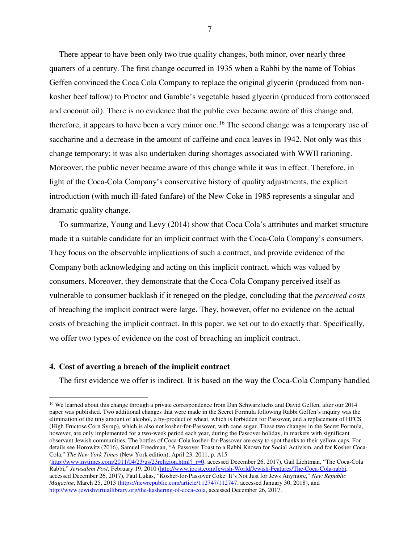There appear to have been only two true quality changes, both minor, over nearly three quarters of a century. The first change occurred in 1935 when a Rabbi by the name of Tobias Geffen convinced the Coca Cola Company to replace the original glycerin (produced from nonkosher beef tallow) to Proctor and Gamble's vegetable based glycerin (produced from cottonseed and coconut oil). There is no evidence that the public ever became aware of this change and, therefore, it appears to have been a very minor one.<sup>[16](#page-9-0)</sup> The second change was a temporary use of saccharine and a decrease in the amount of caffeine and coca leaves in 1942. Not only was this change temporary; it was also undertaken during shortages associated with WWII rationing. Moreover, the public never became aware of this change while it was in effect. Therefore, in light of the Coca-Cola Company's conservative history of quality adjustments, the explicit introduction (with much ill-fated fanfare) of the New Coke in 1985 represents a singular and dramatic quality change.

To summarize, Young and Levy (2014) show that Coca Cola's attributes and market structure made it a suitable candidate for an implicit contract with the Coca-Cola Company's consumers. They focus on the observable implications of such a contract, and provide evidence of the Company both acknowledging and acting on this implicit contract, which was valued by consumers. Moreover, they demonstrate that the Coca-Cola Company perceived itself as vulnerable to consumer backlash if it reneged on the pledge, concluding that the *perceived costs* of breaching the implicit contract were large. They, however, offer no evidence on the actual costs of breaching the implicit contract. In this paper, we set out to do exactly that. Specifically, we offer two types of evidence on the cost of breaching an implicit contract.

#### **4. Cost of averting a breach of the implicit contract**

1

The first evidence we offer is indirect. It is based on the way the Coca-Cola Company handled

<span id="page-9-0"></span><sup>&</sup>lt;sup>16</sup> We learned about this change through a private correspondence from Dan Schwarzfuchs and David Geffen, after our 2014 paper was published. Two additional changes that were made in the Secret Formula following Rabbi Geffen's inquiry was the elimination of the tiny amount of alcohol, a by-product of wheat, which is forbidden for Passover, and a replacement of HFCS (High Fructose Corn Syrup), which is also not kosher-for-Passover, with cane sugar. These two changes in the Secret Formula, however, are only implemented for a two-week period each year, during the Passover holiday, in markets with significant observant Jewish communities. The bottles of Coca-Cola kosher-for-Passover are easy to spot thanks to their yellow caps. For details see Horowitz (2016), Samuel Freedman, "A Passover Toast to a Rabbi Known for Social Activism, and for Kosher Coca-Cola," *The New York Times* (New York edition), April 23, 2011, p. A15

<sup>(</sup>http://www.nytimes.com/2011/04/23/us/23religion.html?\_r=0, accessed December 26, 2017), Gail Lichtman, "The Coca-Cola Rabbi," *Jerusalem Post*, February 19, 2010 (http://www.jpost.com/Jewish-World/Jewish-Features/The-Coca-Cola-rabbi, accessed December 26, 2017), Paul Lukas, "Kosher-for-Passover Coke: It's Not Just for Jews Anymore," *New Republic Magazine*, March 25, 2013 (https://newrepublic.com/article/112747/112747, accessed January 30, 2018), and http://www.jewishvirtuallibrary.org/the-kashering-of-coca-cola, accessed December 26, 2017.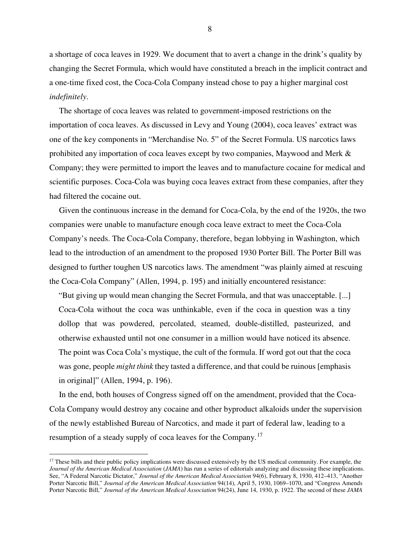a shortage of coca leaves in 1929. We document that to avert a change in the drink's quality by changing the Secret Formula, which would have constituted a breach in the implicit contract and a one-time fixed cost, the Coca-Cola Company instead chose to pay a higher marginal cost *indefinitely*.

The shortage of coca leaves was related to government-imposed restrictions on the importation of coca leaves. As discussed in Levy and Young (2004), coca leaves' extract was one of the key components in "Merchandise No. 5" of the Secret Formula. US narcotics laws prohibited any importation of coca leaves except by two companies, Maywood and Merk & Company; they were permitted to import the leaves and to manufacture cocaine for medical and scientific purposes. Coca-Cola was buying coca leaves extract from these companies, after they had filtered the cocaine out.

Given the continuous increase in the demand for Coca-Cola, by the end of the 1920s, the two companies were unable to manufacture enough coca leave extract to meet the Coca-Cola Company's needs. The Coca-Cola Company, therefore, began lobbying in Washington, which lead to the introduction of an amendment to the proposed 1930 Porter Bill. The Porter Bill was designed to further toughen US narcotics laws. The amendment "was plainly aimed at rescuing the Coca-Cola Company" (Allen, 1994, p. 195) and initially encountered resistance:

"But giving up would mean changing the Secret Formula, and that was unacceptable. [...] Coca-Cola without the coca was unthinkable, even if the coca in question was a tiny dollop that was powdered, percolated, steamed, double-distilled, pasteurized, and otherwise exhausted until not one consumer in a million would have noticed its absence. The point was Coca Cola's mystique, the cult of the formula. If word got out that the coca was gone, people *might think* they tasted a difference, and that could be ruinous [emphasis in original]" (Allen, 1994, p. 196).

In the end, both houses of Congress signed off on the amendment, provided that the Coca-Cola Company would destroy any cocaine and other byproduct alkaloids under the supervision of the newly established Bureau of Narcotics, and made it part of federal law, leading to a resumption of a steady supply of coca leaves for the Company.<sup>[17](#page-10-0)</sup>

 $\overline{a}$ 

<span id="page-10-0"></span> $17$  These bills and their public policy implications were discussed extensively by the US medical community. For example, the *Journal of the American Medical Association* (*JAMA*) has run a series of editorials analyzing and discussing these implications. See, "A Federal Narcotic Dictator," *Journal of the American Medical Association* 94(6), February 8, 1930, 412–413, "Another Porter Narcotic Bill," *Journal of the American Medical Association* 94(14), April 5, 1930, 1069–1070, and "Congress Amends Porter Narcotic Bill," *Journal of the American Medical Association* 94(24), June 14, 1930, p. 1922. The second of these *JAMA*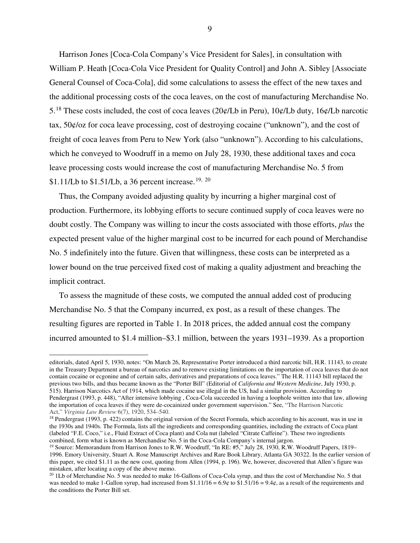Harrison Jones [Coca-Cola Company's Vice President for Sales], in consultation with William P. Heath [Coca-Cola Vice President for Quality Control] and John A. Sibley [Associate General Counsel of Coca-Cola], did some calculations to assess the effect of the new taxes and the additional processing costs of the coca leaves, on the cost of manufacturing Merchandise No. 5.<sup>[18](#page-11-0)</sup> These costs included, the cost of coca leaves (20¢/Lb in Peru), 10¢/Lb duty, 16¢/Lb narcotic tax, 50¢/oz for coca leave processing, cost of destroying cocaine ("unknown"), and the cost of freight of coca leaves from Peru to New York (also "unknown"). According to his calculations, which he conveyed to Woodruff in a memo on July 28, 1930, these additional taxes and coca leave processing costs would increase the cost of manufacturing Merchandise No. 5 from \$1.11/Lb to \$1.51/Lb, a 36 percent increase.<sup>[19](#page-11-1), [20](#page-11-2)</sup>

Thus, the Company avoided adjusting quality by incurring a higher marginal cost of production. Furthermore, its lobbying efforts to secure continued supply of coca leaves were no doubt costly. The Company was willing to incur the costs associated with those efforts, *plus* the expected present value of the higher marginal cost to be incurred for each pound of Merchandise No. 5 indefinitely into the future. Given that willingness, these costs can be interpreted as a lower bound on the true perceived fixed cost of making a quality adjustment and breaching the implicit contract.

To assess the magnitude of these costs, we computed the annual added cost of producing Merchandise No. 5 that the Company incurred, ex post, as a result of these changes. The resulting figures are reported in Table 1. In 2018 prices, the added annual cost the company incurred amounted to \$1.4 million–\$3.1 million, between the years 1931–1939. As a proportion

 $\overline{a}$ 

editorials, dated April 5, 1930, notes: "On March 26, Representative Porter introduced a third narcotic bill, H.R. 11143, to create in the Treasury Department a bureau of narcotics and to remove existing limitations on the importation of coca leaves that do not contain cocaine or ecgonine and of certain salts, derivatives and preparations of coca leaves." The H.R. 11143 bill replaced the previous two bills, and thus became known as the "Porter Bill" (Editorial of *California and Western Medicine*, July 1930, p. 515). Harrison Narcotics Act of 1914, which made cocaine use illegal in the US, had a similar provision. According to Pendergrast (1993, p. 448), "After intensive lobbying , Coca-Cola succeeded in having a loophole written into that law, allowing the importation of coca leaves if they were de-cocainized under government supervision." See, "The Harrison Narcotic Act," *Virginia Law Review* 6(7), 1920, 534–540.

<span id="page-11-0"></span><sup>&</sup>lt;sup>18</sup> Pendergrast (1993, p. 422) contains the original version of the Secret Formula, which according to his account, was in use in the 1930s and 1940s. The Formula, lists all the ingredients and corresponding quantities, including the extracts of Coca plant (labeled "F.E. Coco," i.e., Fluid Extract of Coca plant) and Cola nut (labeled "Citrate Caffeine"). These two ingredients combined, form what is known as Merchandise No. 5 in the Coca-Cola Company's internal jargon.

<span id="page-11-1"></span><sup>19</sup> Source: Memorandum from Harrison Jones to R.W. Woodruff, "In RE: #5," July 28, 1930, R.W. Woodruff Papers, 1819– 1996. Emory University, Stuart A. Rose Manuscript Archives and Rare Book Library, Atlanta GA 30322. In the earlier version of this paper, we cited \$1.11 as the new cost, quoting from Allen (1994, p. 196). We, however, discovered that Allen's figure was mistaken, after locating a copy of the above memo.

<span id="page-11-2"></span><sup>&</sup>lt;sup>20</sup> 1Lb of Merchandise No. 5 was needed to make 16-Gallons of Coca-Cola syrup, and thus the cost of Merchandise No. 5 that was needed to make 1-Gallon syrup, had increased from  $$1.11/16 = 6.9¢$  to  $$1.51/16 = 9.4¢$ , as a result of the requirements and the conditions the Porter Bill set.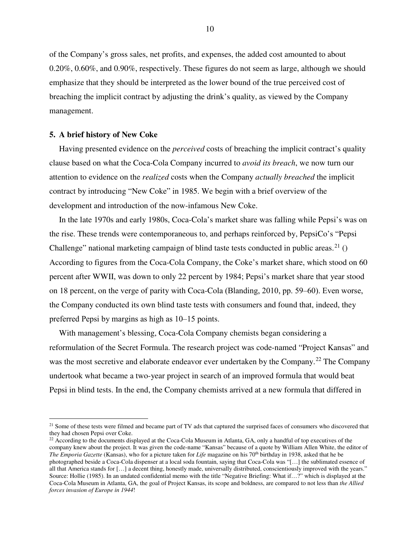of the Company's gross sales, net profits, and expenses, the added cost amounted to about 0.20%, 0.60%, and 0.90%, respectively. These figures do not seem as large, although we should emphasize that they should be interpreted as the lower bound of the true perceived cost of breaching the implicit contract by adjusting the drink's quality, as viewed by the Company management.

#### **5. A brief history of New Coke**

 $\overline{a}$ 

Having presented evidence on the *perceived* costs of breaching the implicit contract's quality clause based on what the Coca-Cola Company incurred to *avoid its breach*, we now turn our attention to evidence on the *realized* costs when the Company *actually breached* the implicit contract by introducing "New Coke" in 1985. We begin with a brief overview of the development and introduction of the now-infamous New Coke.

In the late 1970s and early 1980s, Coca-Cola's market share was falling while Pepsi's was on the rise. These trends were contemporaneous to, and perhaps reinforced by, PepsiCo's "Pepsi Challenge" national marketing campaign of blind taste tests conducted in public areas.<sup>[21](#page-12-0)</sup> () According to figures from the Coca-Cola Company, the Coke's market share, which stood on 60 percent after WWII, was down to only 22 percent by 1984; Pepsi's market share that year stood on 18 percent, on the verge of parity with Coca-Cola (Blanding, 2010, pp. 59–60). Even worse, the Company conducted its own blind taste tests with consumers and found that, indeed, they preferred Pepsi by margins as high as  $10-15$  points.

With management's blessing, Coca-Cola Company chemists began considering a reformulation of the Secret Formula. The research project was code-named "Project Kansas" and was the most secretive and elaborate endeavor ever undertaken by the Company.<sup>[22](#page-12-1)</sup> The Company undertook what became a two-year project in search of an improved formula that would beat Pepsi in blind tests. In the end, the Company chemists arrived at a new formula that differed in

<span id="page-12-0"></span><sup>&</sup>lt;sup>21</sup> Some of these tests were filmed and became part of TV ads that captured the surprised faces of consumers who discovered that they had chosen Pepsi over Coke.

<span id="page-12-1"></span> $^{22}$  According to the documents displayed at the Coca-Cola Museum in Atlanta, GA, only a handful of top executives of the company knew about the project. It was given the code-name "Kansas" because of a quote by William Allen White, the editor of *The Emporia Gazette* (Kansas), who for a picture taken for *Life* magazine on his 70<sup>th</sup> birthday in 1938, asked that he be photographed beside a Coca-Cola dispenser at a local soda fountain, saying that Coca-Cola was "[…] the sublimated essence of all that America stands for […] a decent thing, honestly made, universally distributed, conscientiously improved with the years." Source: Hollie (1985). In an undated confidential memo with the title "Negative Briefing: What if…?" which is displayed at the Coca-Cola Museum in Atlanta, GA, the goal of Project Kansas, its scope and boldness, are compared to not less than *the Allied forces invasion of Europe in 1944*!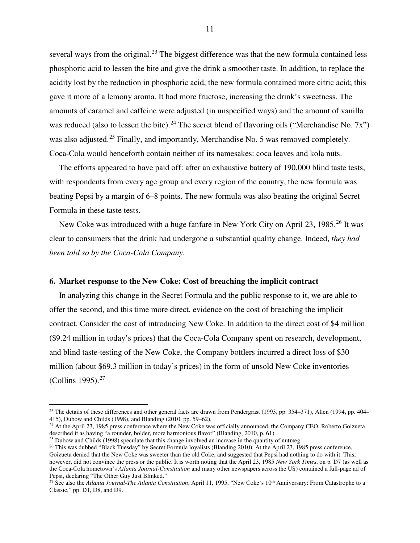several ways from the original.<sup>[23](#page-13-0)</sup> The biggest difference was that the new formula contained less phosphoric acid to lessen the bite and give the drink a smoother taste. In addition, to replace the acidity lost by the reduction in phosphoric acid, the new formula contained more citric acid; this gave it more of a lemony aroma. It had more fructose, increasing the drink's sweetness. The amounts of caramel and caffeine were adjusted (in unspecified ways) and the amount of vanilla was reduced (also to lessen the bite).<sup>[24](#page-13-1)</sup> The secret blend of flavoring oils ("Merchandise No. 7x") was also adjusted.<sup>[25](#page-13-2)</sup> Finally, and importantly, Merchandise No. 5 was removed completely. Coca-Cola would henceforth contain neither of its namesakes: coca leaves and kola nuts.

The efforts appeared to have paid off: after an exhaustive battery of 190,000 blind taste tests, with respondents from every age group and every region of the country, the new formula was beating Pepsi by a margin of 6–8 points. The new formula was also beating the original Secret Formula in these taste tests.

New Coke was introduced with a huge fanfare in New York City on April 23, 1985.<sup>[26](#page-13-3)</sup> It was clear to consumers that the drink had undergone a substantial quality change. Indeed, *they had been told so by the Coca-Cola Company*.

#### **6. Market response to the New Coke: Cost of breaching the implicit contract**

<u>.</u>

In analyzing this change in the Secret Formula and the public response to it, we are able to offer the second, and this time more direct, evidence on the cost of breaching the implicit contract. Consider the cost of introducing New Coke. In addition to the direct cost of \$4 million (\$9.24 million in today's prices) that the Coca-Cola Company spent on research, development, and blind taste-testing of the New Coke, the Company bottlers incurred a direct loss of \$30 million (about \$69.3 million in today's prices) in the form of unsold New Coke inventories (Collins 1995). $27$ 

<span id="page-13-0"></span><sup>&</sup>lt;sup>23</sup> The details of these differences and other general facts are drawn from Pendergrast (1993, pp. 354–371), Allen (1994, pp. 404– 415), Dubow and Childs (1998), and Blanding (2010, pp. 59–62).

<span id="page-13-1"></span><sup>&</sup>lt;sup>24</sup> At the April 23, 1985 press conference where the New Coke was officially announced, the Company CEO, Roberto Goizueta described it as having "a rounder, bolder, more harmonious flavor" (Blanding, 2010, p. 61).

<span id="page-13-3"></span><span id="page-13-2"></span> $25$  Dubow and Childs (1998) speculate that this change involved an increase in the quantity of nutmeg. <sup>26</sup> This was dubbed "Black Tuesday" by Secret Formula loyalists (Blanding 2010). At the April 23, 1985 press conference, Goizueta denied that the New Coke was sweeter than the old Coke, and suggested that Pepsi had nothing to do with it. This, however, did not convince the press or the public. It is worth noting that the April 23, 1985 *New York Times*, on p. D7 (as well as the Coca-Cola hometown's *Atlanta Journal-Constitution* and many other newspapers across the US) contained a full-page ad of Pepsi, declaring "The Other Guy Just Blinked."

<span id="page-13-4"></span><sup>&</sup>lt;sup>27</sup> See also the *Atlanta Journal-The Atlanta Constitution*, April 11, 1995, "New Coke's 10<sup>th</sup> Anniversary: From Catastrophe to a Classic," pp. D1, D8, and D9.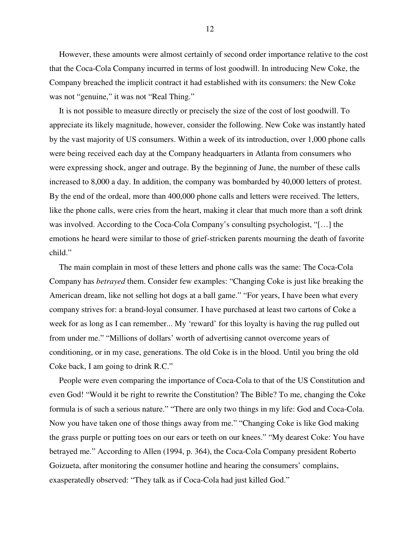However, these amounts were almost certainly of second order importance relative to the cost that the Coca-Cola Company incurred in terms of lost goodwill. In introducing New Coke, the Company breached the implicit contract it had established with its consumers: the New Coke was not "genuine," it was not "Real Thing."

It is not possible to measure directly or precisely the size of the cost of lost goodwill. To appreciate its likely magnitude, however, consider the following. New Coke was instantly hated by the vast majority of US consumers. Within a week of its introduction, over 1,000 phone calls were being received each day at the Company headquarters in Atlanta from consumers who were expressing shock, anger and outrage. By the beginning of June, the number of these calls increased to 8,000 a day. In addition, the company was bombarded by 40,000 letters of protest. By the end of the ordeal, more than 400,000 phone calls and letters were received. The letters, like the phone calls, were cries from the heart, making it clear that much more than a soft drink was involved. According to the Coca-Cola Company's consulting psychologist, "[…] the emotions he heard were similar to those of grief-stricken parents mourning the death of favorite child."

The main complain in most of these letters and phone calls was the same: The Coca-Cola Company has *betrayed* them. Consider few examples: "Changing Coke is just like breaking the American dream, like not selling hot dogs at a ball game." "For years, I have been what every company strives for: a brand-loyal consumer. I have purchased at least two cartons of Coke a week for as long as I can remember... My 'reward' for this loyalty is having the rug pulled out from under me." "Millions of dollars' worth of advertising cannot overcome years of conditioning, or in my case, generations. The old Coke is in the blood. Until you bring the old Coke back, I am going to drink R.C."

People were even comparing the importance of Coca-Cola to that of the US Constitution and even God! "Would it be right to rewrite the Constitution? The Bible? To me, changing the Coke formula is of such a serious nature." "There are only two things in my life: God and Coca-Cola. Now you have taken one of those things away from me." "Changing Coke is like God making the grass purple or putting toes on our ears or teeth on our knees." "My dearest Coke: You have betrayed me." According to Allen (1994, p. 364), the Coca-Cola Company president Roberto Goizueta, after monitoring the consumer hotline and hearing the consumers' complains, exasperatedly observed: "They talk as if Coca-Cola had just killed God."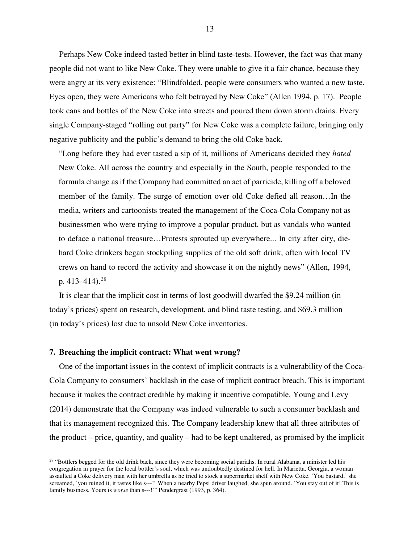Perhaps New Coke indeed tasted better in blind taste-tests. However, the fact was that many people did not want to like New Coke. They were unable to give it a fair chance, because they were angry at its very existence: "Blindfolded, people were consumers who wanted a new taste. Eyes open, they were Americans who felt betrayed by New Coke" (Allen 1994, p. 17). People took cans and bottles of the New Coke into streets and poured them down storm drains. Every single Company-staged "rolling out party" for New Coke was a complete failure, bringing only negative publicity and the public's demand to bring the old Coke back.

"Long before they had ever tasted a sip of it, millions of Americans decided they *hated* New Coke. All across the country and especially in the South, people responded to the formula change as if the Company had committed an act of parricide, killing off a beloved member of the family. The surge of emotion over old Coke defied all reason…In the media, writers and cartoonists treated the management of the Coca-Cola Company not as businessmen who were trying to improve a popular product, but as vandals who wanted to deface a national treasure…Protests sprouted up everywhere... In city after city, diehard Coke drinkers began stockpiling supplies of the old soft drink, often with local TV crews on hand to record the activity and showcase it on the nightly news" (Allen, 1994, p. 413–414).<sup>[28](#page-15-0)</sup>

It is clear that the implicit cost in terms of lost goodwill dwarfed the \$9.24 million (in today's prices) spent on research, development, and blind taste testing, and \$69.3 million (in today's prices) lost due to unsold New Coke inventories.

#### **7. Breaching the implicit contract: What went wrong?**

 $\overline{a}$ 

One of the important issues in the context of implicit contracts is a vulnerability of the Coca-Cola Company to consumers' backlash in the case of implicit contract breach. This is important because it makes the contract credible by making it incentive compatible. Young and Levy (2014) demonstrate that the Company was indeed vulnerable to such a consumer backlash and that its management recognized this. The Company leadership knew that all three attributes of the product – price, quantity, and quality – had to be kept unaltered, as promised by the implicit

<span id="page-15-0"></span> $28$  "Bottlers begged for the old drink back, since they were becoming social pariahs. In rural Alabama, a minister led his congregation in prayer for the local bottler's soul, which was undoubtedly destined for hell. In Marietta, Georgia, a woman assaulted a Coke delivery man with her umbrella as he tried to stock a supermarket shelf with New Coke. 'You bastard,' she screamed, 'you ruined it, it tastes like s---!' When a nearby Pepsi driver laughed, she spun around. 'You stay out of it! This is family business. Yours is *worse* than s---!'" Pendergrast (1993, p. 364).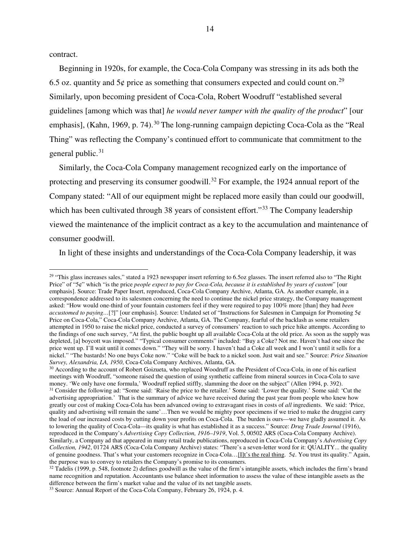contract.

1

Beginning in 1920s, for example, the Coca-Cola Company was stressing in its ads both the 6.5 oz. quantity and  $5¢$  price as something that consumers expected and could count on.<sup>[29](#page-16-0)</sup> Similarly, upon becoming president of Coca-Cola, Robert Woodruff "established several guidelines [among which was that] *he would never tamper with the quality of the product*" [our emphasis], (Kahn, 1969, p. 74).<sup>[30](#page-16-1)</sup> The long-running campaign depicting Coca-Cola as the "Real Thing" was reflecting the Company's continued effort to communicate that commitment to the general public. $31$ 

Similarly, the Coca-Cola Company management recognized early on the importance of protecting and preserving its consumer goodwill.<sup>[32](#page-16-3)</sup> For example, the 1924 annual report of the Company stated: "All of our equipment might be replaced more easily than could our goodwill, which has been cultivated through 38 years of consistent effort."<sup>[33](#page-16-4)</sup> The Company leadership viewed the maintenance of the implicit contract as a key to the accumulation and maintenance of consumer goodwill.

In light of these insights and understandings of the Coca-Cola Company leadership, it was

<span id="page-16-0"></span><sup>&</sup>lt;sup>29</sup> "This glass increases sales," stated a 1923 newspaper insert referring to 6.5oz glasses. The insert referred also to "The Right Price" of "5¢" which "is the price *people expect to pay for Coca-Cola, because it is established by years of custom*" [our emphasis]. Source: Trade Paper Insert, reproduced, Coca-Cola Company Archive, Atlanta, GA. As another example, in a correspondence addressed to its salesmen concerning the need to continue the nickel price strategy, the Company management asked: "How would one-third of your fountain customers feel if they were required to pay 100% more [than] they had *been accustomed to paying…*[?]" [our emphasis]. Source: Undated set of "Instructions for Salesmen in Campaign for Promoting 5¢ Price on Coca-Cola," Coca-Cola Company Archive, Atlanta, GA. The Company, fearful of the backlash as some retailers attempted in 1950 to raise the nickel price, conducted a survey of consumers' reaction to such price hike attempts. According to the findings of one such survey, "At first, the public bought up all available Coca-Cola at the old price. As soon as the supply was depleted, [a] boycott was imposed." "Typical consumer comments" included: "Buy a Coke? Not me. Haven't had one since the price went up. I'll wait until it comes down." "They will be sorry. I haven't had a Coke all week and I won't until it sells for a nickel." "The bastards! No one buys Coke now." "Coke will be back to a nickel soon. Just wait and see." Source: *Price Situation Survey, Alexandria, LA, 1950*, Coca-Cola Company Archives, Atlanta, GA.

<span id="page-16-2"></span><span id="page-16-1"></span><sup>&</sup>lt;sup>30</sup> According to the account of Robert Goizueta, who replaced Woodruff as the President of Coca-Cola, in one of his earliest meetings with Woodruff, "someone raised the question of using synthetic caffeine from mineral sources in Coca-Cola to save money. 'We only have one formula,' Woodruff replied stiffly, slamming the door on the subject" (Allen 1994, p. 392). <sup>31</sup> Consider the following ad: "Some said: 'Raise the price to the retailer.' Some said: 'Lower the quality.' Some said: 'Cut the advertising appropriation.' That is the summary of advice we have received during the past year from people who knew how greatly our cost of making Coca-Cola has been advanced owing to extravagant rises in costs of *all* ingredients. We said: 'Price, quality and advertising will remain the same'…Then we would be mighty poor specimens if we tried to make the druggist carry the load of our increased costs by cutting down your profits on Coca-Cola. The burden is ours—we have gladly assumed it. As to lowering the quality of Coca-Cola—its quality is what has established it as a success." Source: *Drug Trade Journal* (1916), reproduced in the Company's *Advertising Copy Collection, 1916–1919*, Vol. 5, 00502 ARS (Coca-Cola Company Archive). Similarly, a Company ad that appeared in many retail trade publications, reproduced in Coca-Cola Company's *Advertising Copy Collection, 1942*, 01724 ARS (Coca-Cola Company Archive) states: "There's a seven-letter word for it: QUALITY... the quality of genuine goodness. That's what your customers recognize in Coca-Cola…[I]t's the real thing. 5¢. You trust its quality." Again, the purpose was to convey to retailers the Company's promise to its consumers.

<span id="page-16-3"></span> $32$  Tadelis (1999, p. 548, footnote 2) defines goodwill as the value of the firm's intangible assets, which includes the firm's brand name recognition and reputation. Accountants use balance sheet information to assess the value of these intangible assets as the difference between the firm's market value and the value of its net tangible assets.

<span id="page-16-4"></span><sup>33</sup> Source: Annual Report of the Coca-Cola Company, February 26, 1924, p. 4.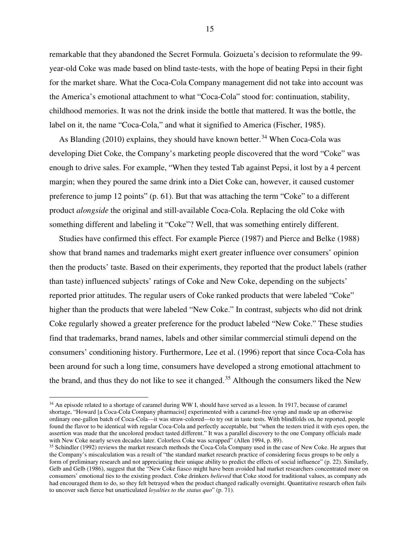remarkable that they abandoned the Secret Formula. Goizueta's decision to reformulate the 99 year-old Coke was made based on blind taste-tests, with the hope of beating Pepsi in their fight for the market share. What the Coca-Cola Company management did not take into account was the America's emotional attachment to what "Coca-Cola" stood for: continuation, stability, childhood memories. It was not the drink inside the bottle that mattered. It was the bottle, the label on it, the name "Coca-Cola," and what it signified to America (Fischer, 1985).

As Blanding  $(2010)$  explains, they should have known better.<sup>[34](#page-17-0)</sup> When Coca-Cola was developing Diet Coke, the Company's marketing people discovered that the word "Coke" was enough to drive sales. For example, "When they tested Tab against Pepsi, it lost by a 4 percent margin; when they poured the same drink into a Diet Coke can, however, it caused customer preference to jump 12 points" (p. 61). But that was attaching the term "Coke" to a different product *alongside* the original and still-available Coca-Cola. Replacing the old Coke with something different and labeling it "Coke"? Well, that was something entirely different.

Studies have confirmed this effect. For example Pierce (1987) and Pierce and Belke (1988) show that brand names and trademarks might exert greater influence over consumers' opinion then the products' taste. Based on their experiments, they reported that the product labels (rather than taste) influenced subjects' ratings of Coke and New Coke, depending on the subjects' reported prior attitudes. The regular users of Coke ranked products that were labeled "Coke" higher than the products that were labeled "New Coke." In contrast, subjects who did not drink Coke regularly showed a greater preference for the product labeled "New Coke." These studies find that trademarks, brand names, labels and other similar commercial stimuli depend on the consumers' conditioning history. Furthermore, Lee et al. (1996) report that since Coca-Cola has been around for such a long time, consumers have developed a strong emotional attachment to the brand, and thus they do not like to see it changed.<sup>[35](#page-17-1)</sup> Although the consumers liked the New

 $\overline{a}$ 

<span id="page-17-0"></span><sup>&</sup>lt;sup>34</sup> An episode related to a shortage of caramel during WW I, should have served as a lesson. In 1917, because of caramel shortage, "Howard [a Coca-Cola Company pharmacist] experimented with a caramel-free syrup and made up an otherwise ordinary one-gallon batch of Coca-Cola—it was straw-colored—to try out in taste tests. With blindfolds on, he reported, people found the flavor to be identical with regular Coca-Cola and perfectly acceptable, but "when the testers tried it with eyes open, the assertion was made that the uncolored product tasted different." It was a parallel discovery to the one Company officials made with New Coke nearly seven decades later. Colorless Coke was scrapped" (Allen 1994, p. 89).

<span id="page-17-1"></span><sup>35</sup> Schindler (1992) reviews the market research methods the Coca-Cola Company used in the case of New Coke. He argues that the Company's miscalculation was a result of "the standard market research practice of considering focus groups to be only a form of preliminary research and not appreciating their unique ability to predict the effects of social influence" (p. 22). Similarly, Gelb and Gelb (1986), suggest that the "New Coke fiasco might have been avoided had market researchers concentrated more on consumers' emotional ties to the existing product. Coke drinkers *believed* that Coke stood for traditional values, as company ads had encouraged them to do, so they felt betrayed when the product changed radically overnight. Quantitative research often fails to uncover such fierce but unarticulated *loyalties to the status quo*" (p. 71).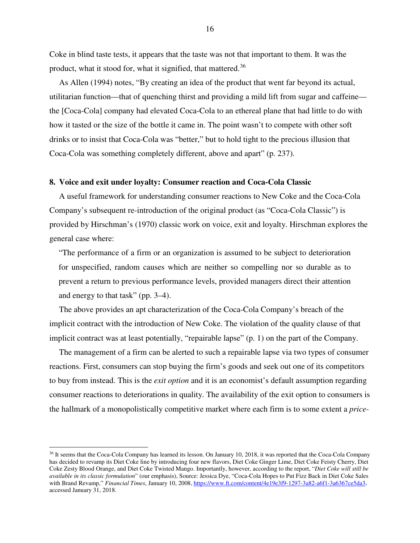Coke in blind taste tests, it appears that the taste was not that important to them. It was the product, what it stood for, what it signified, that mattered.<sup>[36](#page-18-0)</sup>

As Allen (1994) notes, "By creating an idea of the product that went far beyond its actual, utilitarian function—that of quenching thirst and providing a mild lift from sugar and caffeine the [Coca-Cola] company had elevated Coca-Cola to an ethereal plane that had little to do with how it tasted or the size of the bottle it came in. The point wasn't to compete with other soft drinks or to insist that Coca-Cola was "better," but to hold tight to the precious illusion that Coca-Cola was something completely different, above and apart" (p. 237).

#### **8. Voice and exit under loyalty: Consumer reaction and Coca-Cola Classic**

A useful framework for understanding consumer reactions to New Coke and the Coca-Cola Company's subsequent re-introduction of the original product (as "Coca-Cola Classic") is provided by Hirschman's (1970) classic work on voice, exit and loyalty. Hirschman explores the general case where:

"The performance of a firm or an organization is assumed to be subject to deterioration for unspecified, random causes which are neither so compelling nor so durable as to prevent a return to previous performance levels, provided managers direct their attention and energy to that task" (pp. 3–4).

The above provides an apt characterization of the Coca-Cola Company's breach of the implicit contract with the introduction of New Coke. The violation of the quality clause of that implicit contract was at least potentially, "repairable lapse" (p. 1) on the part of the Company.

The management of a firm can be alerted to such a repairable lapse via two types of consumer reactions. First, consumers can stop buying the firm's goods and seek out one of its competitors to buy from instead. This is the *exit option* and it is an economist's default assumption regarding consumer reactions to deteriorations in quality. The availability of the exit option to consumers is the hallmark of a monopolistically competitive market where each firm is to some extent a *price-* 

 $\overline{a}$ 

<span id="page-18-0"></span><sup>36</sup> It seems that the Coca-Cola Company has learned its lesson. On January 10, 2018, it was reported that the Coca-Cola Company has decided to revamp its Diet Coke line by introducing four new flavors, Diet Coke Ginger Lime, Diet Coke Feisty Cherry, Diet Coke Zesty Blood Orange, and Diet Coke Twisted Mango. Importantly, however, according to the report, "*Diet Coke will still be available in its classic formulation*" (our emphasis), Source: Jessica Dye, "Coca-Cola Hopes to Put Fizz Back in Diet Coke Sales with Brand Revamp," *Financial Times*, January 10, 2008, https://www.ft.com/content/4e19e3f9-1297-3a82-a6f1-3a6367ce5da3, accessed January 31, 2018.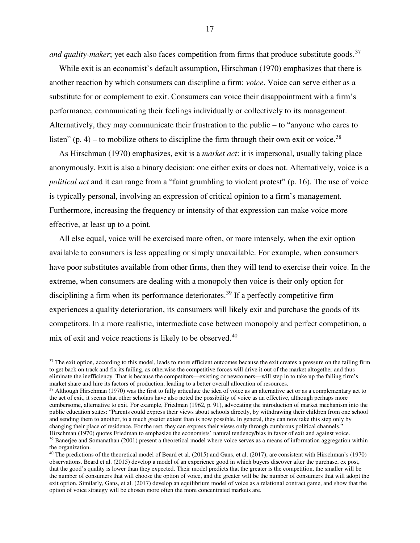and quality-maker; yet each also faces competition from firms that produce substitute goods.<sup>[37](#page-19-0)</sup>

While exit is an economist's default assumption, Hirschman (1970) emphasizes that there is another reaction by which consumers can discipline a firm: *voice*. Voice can serve either as a substitute for or complement to exit. Consumers can voice their disappointment with a firm's performance, communicating their feelings individually or collectively to its management. Alternatively, they may communicate their frustration to the public – to "anyone who cares to listen" (p. 4) – to mobilize others to discipline the firm through their own exit or voice.<sup>[38](#page-19-1)</sup>

As Hirschman (1970) emphasizes, exit is a *market act*: it is impersonal, usually taking place anonymously. Exit is also a binary decision: one either exits or does not. Alternatively, voice is a *political act* and it can range from a "faint grumbling to violent protest" (p. 16). The use of voice is typically personal, involving an expression of critical opinion to a firm's management. Furthermore, increasing the frequency or intensity of that expression can make voice more effective, at least up to a point.

All else equal, voice will be exercised more often, or more intensely, when the exit option available to consumers is less appealing or simply unavailable. For example, when consumers have poor substitutes available from other firms, then they will tend to exercise their voice. In the extreme, when consumers are dealing with a monopoly then voice is their only option for disciplining a firm when its performance deteriorates.<sup>[39](#page-19-2)</sup> If a perfectly competitive firm experiences a quality deterioration, its consumers will likely exit and purchase the goods of its competitors. In a more realistic, intermediate case between monopoly and perfect competition, a mix of exit and voice reactions is likely to be observed.<sup>[40](#page-19-3)</sup>

<span id="page-19-0"></span><sup>&</sup>lt;sup>37</sup> The exit option, according to this model, leads to more efficient outcomes because the exit creates a pressure on the failing firm to get back on track and fix its failing, as otherwise the competitive forces will drive it out of the market altogether and thus eliminate the inefficiency. That is because the competitors—existing or newcomers—will step in to take up the failing firm's market share and hire its factors of production, leading to a better overall allocation of resources.

<span id="page-19-1"></span><sup>&</sup>lt;sup>38</sup> Although Hirschman (1970) was the first to fully articulate the idea of voice as an alternative act or as a complementary act to the act of exit, it seems that other scholars have also noted the possibility of voice as an effective, although perhaps more cumbersome, alternative to exit. For example, Friedman (1962, p. 91), advocating the introduction of market mechanism into the public education states: "Parents could express their views about schools directly, by withdrawing their children from one school and sending them to another, to a much greater extent than is now possible. In general, they can now take this step only by changing their place of residence. For the rest, they can express their views only through cumbrous political channels." Hirschman (1970) quotes Friedman to emphasize the economists' natural tendency/bias in favor of exit and against voice. <sup>39</sup> Banerjee and Somanathan (2001) present a theoretical model where voice serves as a means of information aggregation within the organization.

<span id="page-19-3"></span><span id="page-19-2"></span><sup>&</sup>lt;sup>40</sup> The predictions of the theoretical model of Beard et al. (2015) and Gans, et al. (2017), are consistent with Hirschman's (1970) observations. Beard et al. (2015) develop a model of an experience good in which buyers discover after the purchase, ex post, that the good's quality is lower than they expected. Their model predicts that the greater is the competition, the smaller will be the number of consumers that will choose the option of voice, and the greater will be the number of consumers that will adopt the exit option. Similarly, Gans, et al. (2017) develop an equilibrium model of voice as a relational contract game, and show that the option of voice strategy will be chosen more often the more concentrated markets are.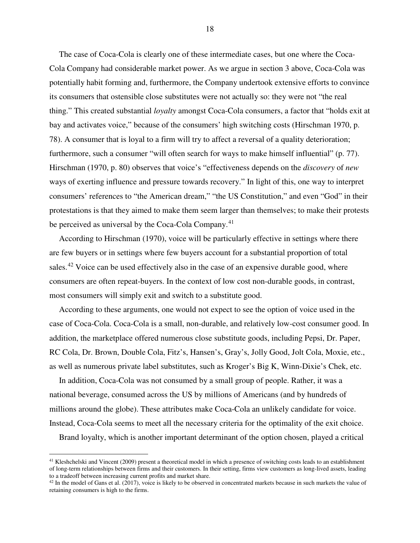The case of Coca-Cola is clearly one of these intermediate cases, but one where the Coca-Cola Company had considerable market power. As we argue in section 3 above, Coca-Cola was potentially habit forming and, furthermore, the Company undertook extensive efforts to convince its consumers that ostensible close substitutes were not actually so: they were not "the real thing." This created substantial *loyalty* amongst Coca-Cola consumers, a factor that "holds exit at bay and activates voice," because of the consumers' high switching costs (Hirschman 1970, p. 78). A consumer that is loyal to a firm will try to affect a reversal of a quality deterioration; furthermore, such a consumer "will often search for ways to make himself influential" (p. 77). Hirschman (1970, p. 80) observes that voice's "effectiveness depends on the *discovery* of *new* ways of exerting influence and pressure towards recovery." In light of this, one way to interpret consumers' references to "the American dream," "the US Constitution," and even "God" in their protestations is that they aimed to make them seem larger than themselves; to make their protests be perceived as universal by the Coca-Cola Company.<sup>[41](#page-20-0)</sup>

According to Hirschman (1970), voice will be particularly effective in settings where there are few buyers or in settings where few buyers account for a substantial proportion of total sales.<sup>[42](#page-20-1)</sup> Voice can be used effectively also in the case of an expensive durable good, where consumers are often repeat-buyers. In the context of low cost non-durable goods, in contrast, most consumers will simply exit and switch to a substitute good.

According to these arguments, one would not expect to see the option of voice used in the case of Coca-Cola. Coca-Cola is a small, non-durable, and relatively low-cost consumer good. In addition, the marketplace offered numerous close substitute goods, including Pepsi, Dr. Paper, RC Cola, Dr. Brown, Double Cola, Fitz's, Hansen's, Gray's, Jolly Good, Jolt Cola, Moxie, etc., as well as numerous private label substitutes, such as Kroger's Big K, Winn-Dixie's Chek, etc.

In addition, Coca-Cola was not consumed by a small group of people. Rather, it was a national beverage, consumed across the US by millions of Americans (and by hundreds of millions around the globe). These attributes make Coca-Cola an unlikely candidate for voice. Instead, Coca-Cola seems to meet all the necessary criteria for the optimality of the exit choice.

Brand loyalty, which is another important determinant of the option chosen, played a critical

 $\overline{a}$ 

<span id="page-20-0"></span><sup>&</sup>lt;sup>41</sup> Kleshchelski and Vincent (2009) present a theoretical model in which a presence of switching costs leads to an establishment of long-term relationships between firms and their customers. In their setting, firms view customers as long-lived assets, leading to a tradeoff between increasing current profits and market share.

<span id="page-20-1"></span> $42$  In the model of Gans et al. (2017), voice is likely to be observed in concentrated markets because in such markets the value of retaining consumers is high to the firms.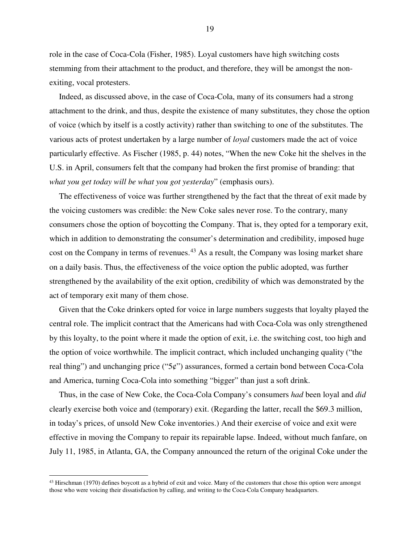role in the case of Coca-Cola (Fisher, 1985). Loyal customers have high switching costs stemming from their attachment to the product, and therefore, they will be amongst the nonexiting, vocal protesters.

Indeed, as discussed above, in the case of Coca-Cola, many of its consumers had a strong attachment to the drink, and thus, despite the existence of many substitutes, they chose the option of voice (which by itself is a costly activity) rather than switching to one of the substitutes. The various acts of protest undertaken by a large number of *loyal* customers made the act of voice particularly effective. As Fischer (1985, p. 44) notes, "When the new Coke hit the shelves in the U.S. in April, consumers felt that the company had broken the first promise of branding: that *what you get today will be what you got yesterday*" (emphasis ours).

The effectiveness of voice was further strengthened by the fact that the threat of exit made by the voicing customers was credible: the New Coke sales never rose. To the contrary, many consumers chose the option of boycotting the Company. That is, they opted for a temporary exit, which in addition to demonstrating the consumer's determination and credibility, imposed huge cost on the Company in terms of revenues.<sup>[43](#page-21-0)</sup> As a result, the Company was losing market share on a daily basis. Thus, the effectiveness of the voice option the public adopted, was further strengthened by the availability of the exit option, credibility of which was demonstrated by the act of temporary exit many of them chose.

Given that the Coke drinkers opted for voice in large numbers suggests that loyalty played the central role. The implicit contract that the Americans had with Coca-Cola was only strengthened by this loyalty, to the point where it made the option of exit, i.e. the switching cost, too high and the option of voice worthwhile. The implicit contract, which included unchanging quality ("the real thing") and unchanging price (" $5¢$ ") assurances, formed a certain bond between Coca-Cola and America, turning Coca-Cola into something "bigger" than just a soft drink.

Thus, in the case of New Coke, the Coca-Cola Company's consumers *had* been loyal and *did*  clearly exercise both voice and (temporary) exit. (Regarding the latter, recall the \$69.3 million, in today's prices, of unsold New Coke inventories.) And their exercise of voice and exit were effective in moving the Company to repair its repairable lapse. Indeed, without much fanfare, on July 11, 1985, in Atlanta, GA, the Company announced the return of the original Coke under the

<u>.</u>

<span id="page-21-0"></span> $43$  Hirschman (1970) defines boycott as a hybrid of exit and voice. Many of the customers that chose this option were amongst those who were voicing their dissatisfaction by calling, and writing to the Coca-Cola Company headquarters.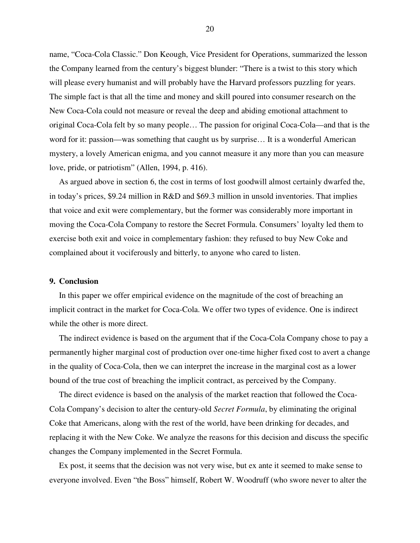name, "Coca-Cola Classic." Don Keough, Vice President for Operations, summarized the lesson the Company learned from the century's biggest blunder: "There is a twist to this story which will please every humanist and will probably have the Harvard professors puzzling for years. The simple fact is that all the time and money and skill poured into consumer research on the New Coca-Cola could not measure or reveal the deep and abiding emotional attachment to original Coca-Cola felt by so many people… The passion for original Coca-Cola—and that is the word for it: passion—was something that caught us by surprise… It is a wonderful American mystery, a lovely American enigma, and you cannot measure it any more than you can measure love, pride, or patriotism" (Allen, 1994, p. 416).

As argued above in section 6, the cost in terms of lost goodwill almost certainly dwarfed the, in today's prices, \$9.24 million in R&D and \$69.3 million in unsold inventories. That implies that voice and exit were complementary, but the former was considerably more important in moving the Coca-Cola Company to restore the Secret Formula. Consumers' loyalty led them to exercise both exit and voice in complementary fashion: they refused to buy New Coke and complained about it vociferously and bitterly, to anyone who cared to listen.

#### **9. Conclusion**

In this paper we offer empirical evidence on the magnitude of the cost of breaching an implicit contract in the market for Coca-Cola. We offer two types of evidence. One is indirect while the other is more direct.

The indirect evidence is based on the argument that if the Coca-Cola Company chose to pay a permanently higher marginal cost of production over one-time higher fixed cost to avert a change in the quality of Coca-Cola, then we can interpret the increase in the marginal cost as a lower bound of the true cost of breaching the implicit contract, as perceived by the Company.

The direct evidence is based on the analysis of the market reaction that followed the Coca-Cola Company's decision to alter the century-old *Secret Formula*, by eliminating the original Coke that Americans, along with the rest of the world, have been drinking for decades, and replacing it with the New Coke. We analyze the reasons for this decision and discuss the specific changes the Company implemented in the Secret Formula.

Ex post, it seems that the decision was not very wise, but ex ante it seemed to make sense to everyone involved. Even "the Boss" himself, Robert W. Woodruff (who swore never to alter the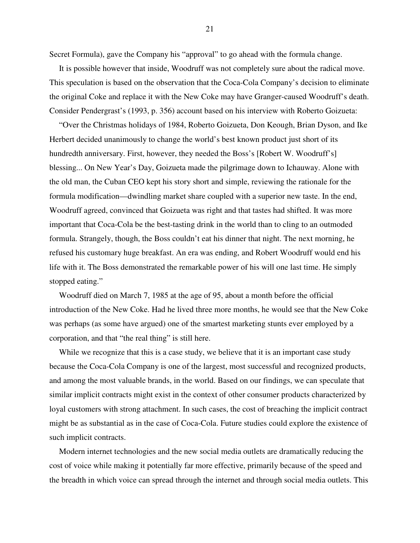Secret Formula), gave the Company his "approval" to go ahead with the formula change.

It is possible however that inside, Woodruff was not completely sure about the radical move. This speculation is based on the observation that the Coca-Cola Company's decision to eliminate the original Coke and replace it with the New Coke may have Granger-caused Woodruff's death. Consider Pendergrast's (1993, p. 356) account based on his interview with Roberto Goizueta:

"Over the Christmas holidays of 1984, Roberto Goizueta, Don Keough, Brian Dyson, and Ike Herbert decided unanimously to change the world's best known product just short of its hundredth anniversary. First, however, they needed the Boss's [Robert W. Woodruff's] blessing... On New Year's Day, Goizueta made the pilgrimage down to Ichauway. Alone with the old man, the Cuban CEO kept his story short and simple, reviewing the rationale for the formula modification—dwindling market share coupled with a superior new taste. In the end, Woodruff agreed, convinced that Goizueta was right and that tastes had shifted. It was more important that Coca-Cola be the best-tasting drink in the world than to cling to an outmoded formula. Strangely, though, the Boss couldn't eat his dinner that night. The next morning, he refused his customary huge breakfast. An era was ending, and Robert Woodruff would end his life with it. The Boss demonstrated the remarkable power of his will one last time. He simply stopped eating."

Woodruff died on March 7, 1985 at the age of 95, about a month before the official introduction of the New Coke. Had he lived three more months, he would see that the New Coke was perhaps (as some have argued) one of the smartest marketing stunts ever employed by a corporation, and that "the real thing" is still here.

While we recognize that this is a case study, we believe that it is an important case study because the Coca-Cola Company is one of the largest, most successful and recognized products, and among the most valuable brands, in the world. Based on our findings, we can speculate that similar implicit contracts might exist in the context of other consumer products characterized by loyal customers with strong attachment. In such cases, the cost of breaching the implicit contract might be as substantial as in the case of Coca-Cola. Future studies could explore the existence of such implicit contracts.

Modern internet technologies and the new social media outlets are dramatically reducing the cost of voice while making it potentially far more effective, primarily because of the speed and the breadth in which voice can spread through the internet and through social media outlets. This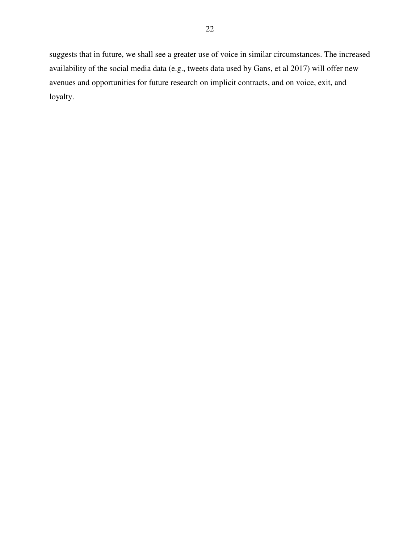suggests that in future, we shall see a greater use of voice in similar circumstances. The increased availability of the social media data (e.g., tweets data used by Gans, et al 2017) will offer new avenues and opportunities for future research on implicit contracts, and on voice, exit, and loyalty.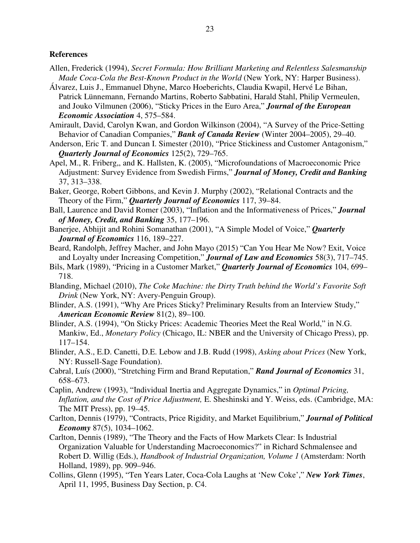#### **References**

- Allen, Frederick (1994), *Secret Formula: How Brilliant Marketing and Relentless Salesmanship Made Coca-Cola the Best-Known Product in the World* (New York, NY: Harper Business).
- Álvarez, Luis J., Emmanuel Dhyne, Marco Hoeberichts, Claudia Kwapil, Hervé Le Bihan, Patrick Lünnemann, Fernando Martins, Roberto Sabbatini, Harald Stahl, Philip Vermeulen, and Jouko Vilmunen (2006), "Sticky Prices in the Euro Area," *Journal of the European Economic Association* 4, 575–584.
- Amirault, David, Carolyn Kwan, and Gordon Wilkinson (2004), "A Survey of the Price-Setting Behavior of Canadian Companies," *Bank of Canada Review* (Winter 2004–2005), 29–40.
- Anderson, Eric T. and Duncan I. Simester (2010), "Price Stickiness and Customer Antagonism," *Quarterly Journal of Economics* 125(2), 729–765.
- Apel, M., R. Friberg,, and K. Hallsten, K. (2005), "Microfoundations of Macroeconomic Price Adjustment: Survey Evidence from Swedish Firms," *Journal of Money, Credit and Banking* 37, 313–338.
- Baker, George, Robert Gibbons, and Kevin J. Murphy (2002), "Relational Contracts and the Theory of the Firm," *Quarterly Journal of Economics* 117, 39–84.
- Ball, Laurence and David Romer (2003), "Inflation and the Informativeness of Prices," *Journal of Money, Credit, and Banking* 35, 177–196.
- Banerjee, Abhijit and Rohini Somanathan (2001), "A Simple Model of Voice," *Quarterly Journal of Economics* 116, 189–227.
- Beard, Randolph, Jeffrey Macher, and John Mayo (2015) "Can You Hear Me Now? Exit, Voice and Loyalty under Increasing Competition," *Journal of Law and Economics* 58(3), 717–745.
- Bils, Mark (1989), "Pricing in a Customer Market," *Quarterly Journal of Economics* 104, 699– 718.
- Blanding, Michael (2010), *The Coke Machine: the Dirty Truth behind the World's Favorite Soft Drink* (New York, NY: Avery-Penguin Group).
- Blinder, A.S. (1991), "Why Are Prices Sticky? Preliminary Results from an Interview Study," *American Economic Review* 81(2), 89–100.
- Blinder, A.S. (1994), "On Sticky Prices: Academic Theories Meet the Real World," in N.G. Mankiw, Ed., *Monetary Policy* (Chicago, IL: NBER and the University of Chicago Press), pp. 117–154.
- Blinder, A.S., E.D. Canetti, D.E. Lebow and J.B. Rudd (1998), *Asking about Prices* (New York, NY: Russell-Sage Foundation).
- Cabral, Luís (2000), "Stretching Firm and Brand Reputation," *Rand Journal of Economics* 31, 658–673.
- Caplin, Andrew (1993), "Individual Inertia and Aggregate Dynamics," in *Optimal Pricing, Inflation, and the Cost of Price Adjustment,* E. Sheshinski and Y. Weiss, eds. (Cambridge, MA: The MIT Press), pp. 19–45.
- Carlton, Dennis (1979), "Contracts, Price Rigidity, and Market Equilibrium," *Journal of Political Economy* 87(5), 1034–1062.
- Carlton, Dennis (1989), "The Theory and the Facts of How Markets Clear: Is Industrial Organization Valuable for Understanding Macroeconomics?" in Richard Schmalensee and Robert D. Willig (Eds.), *Handbook of Industrial Organization, Volume 1* (Amsterdam: North Holland, 1989), pp. 909–946.
- Collins, Glenn (1995), "Ten Years Later, Coca-Cola Laughs at 'New Coke'," *New York Times*, April 11, 1995, Business Day Section, p. C4.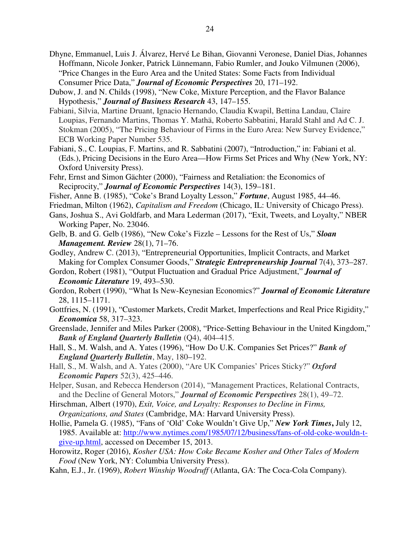- Dhyne, Emmanuel, Luis J. Álvarez, Hervé Le Bihan, Giovanni Veronese, Daniel Dias, Johannes Hoffmann, Nicole Jonker, Patrick Lünnemann, Fabio Rumler, and Jouko Vilmunen (2006), "Price Changes in the Euro Area and the United States: Some Facts from Individual Consumer Price Data," *Journal of Economic Perspectives* 20, 171–192.
- Dubow, J. and N. Childs (1998), "New Coke, Mixture Perception, and the Flavor Balance Hypothesis," *Journal of Business Research* 43, 147–155.
- Fabiani, Silvia, Martine Druant, Ignacio Hernando, Claudia Kwapil, Bettina Landau, Claire Loupias, Fernando Martins, Thomas Y. Mathä, Roberto Sabbatini, Harald Stahl and Ad C. J. Stokman (2005), "The Pricing Behaviour of Firms in the Euro Area: New Survey Evidence," ECB Working Paper Number 535.
- Fabiani, S., C. Loupias, F. Martins, and R. Sabbatini (2007), "Introduction," in: Fabiani et al. (Eds.), Pricing Decisions in the Euro Area—How Firms Set Prices and Why (New York, NY: Oxford University Press).
- Fehr, Ernst and Simon Gächter (2000), "Fairness and Retaliation: the Economics of Reciprocity," *Journal of Economic Perspectives* 14(3), 159–181.
- Fisher, Anne B. (1985), "Coke's Brand Loyalty Lesson," *Fortune*, August 1985, 44–46.
- Friedman, Milton (1962), *Capitalism and Freedom* (Chicago, IL: University of Chicago Press).
- Gans, Joshua S., Avi Goldfarb, and Mara Lederman (2017), "Exit, Tweets, and Loyalty," NBER Working Paper, No. 23046.
- Gelb, B. and G. Gelb (1986), "New Coke's Fizzle Lessons for the Rest of Us," *Sloan Management. Review* 28(1), 71–76.
- Godley, Andrew C. (2013), "Entrepreneurial Opportunities, Implicit Contracts, and Market Making for Complex Consumer Goods," *Strategic Entrepreneurship Journal* 7(4), 373–287.
- Gordon, Robert (1981), "Output Fluctuation and Gradual Price Adjustment," *Journal of Economic Literature* 19, 493–530.
- Gordon, Robert (1990), "What Is New-Keynesian Economics?" *Journal of Economic Literature*  28, 1115–1171.
- Gottfries, N. (1991), "Customer Markets, Credit Market, Imperfections and Real Price Rigidity," *Economica* 58, 317–323.
- Greenslade, Jennifer and Miles Parker (2008), "Price-Setting Behaviour in the United Kingdom," *Bank of England Quarterly Bulletin* (Q4), 404–415.
- Hall, S., M. Walsh, and A. Yates (1996), "How Do U.K. Companies Set Prices?" *Bank of England Quarterly Bulletin*, May, 180–192.
- Hall, S., M. Walsh, and A. Yates (2000), "Are UK Companies' Prices Sticky?" *Oxford Economic Papers* 52(3), 425–446.
- Helper, Susan, and Rebecca Henderson (2014), "Management Practices, Relational Contracts, and the Decline of General Motors," *Journal of Economic Perspectives* 28(1), 49–72.
- Hirschman, Albert (1970), *Exit, Voice, and Loyalty: Responses to Decline in Firms, Organizations, and States* (Cambridge, MA: Harvard University Press).
- Hollie, Pamela G. (1985), "Fans of 'Old' Coke Wouldn't Give Up," *New York Times***,** July 12, 1985. Available at: http://www.nytimes.com/1985/07/12/business/fans-of-old-coke-wouldn-tgive-up.html, accessed on December 15, 2013.
- Horowitz, Roger (2016), *Kosher USA: How Coke Became Kosher and Other Tales of Modern Food* (New York, NY: Columbia University Press).
- Kahn, E.J., Jr. (1969), *Robert Winship Woodruff* (Atlanta, GA: The Coca-Cola Company).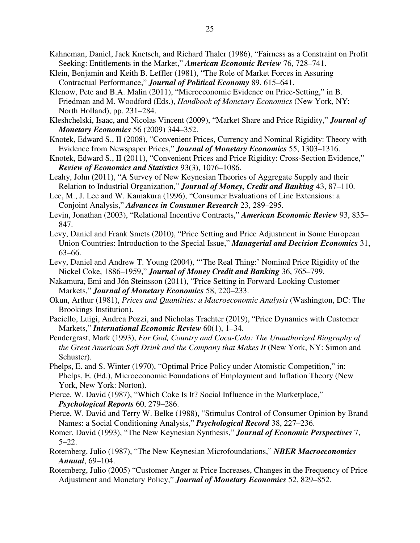- Kahneman, Daniel, Jack Knetsch, and Richard Thaler (1986), "Fairness as a Constraint on Profit Seeking: Entitlements in the Market," *American Economic Review* 76, 728–741.
- Klein, Benjamin and Keith B. Leffler (1981), "The Role of Market Forces in Assuring Contractual Performance," *Journal of Political Economy* 89, 615–641.
- Klenow, Pete and B.A. Malin (2011), "Microeconomic Evidence on Price-Setting," in B. Friedman and M. Woodford (Eds.), *Handbook of Monetary Economics* (New York, NY: North Holland), pp. 231–284.
- Kleshchelski, Isaac, and Nicolas Vincent (2009), "Market Share and Price Rigidity," *Journal of Monetary Economics* 56 (2009) 344–352.
- Knotek, Edward S., II (2008), "Convenient Prices, Currency and Nominal Rigidity: Theory with Evidence from Newspaper Prices," *Journal of Monetary Economics* 55, 1303–1316.
- Knotek, Edward S., II (2011), "Convenient Prices and Price Rigidity: Cross-Section Evidence," *Review of Economics and Statistics* 93(3), 1076–1086.
- Leahy, John (2011), "A Survey of New Keynesian Theories of Aggregate Supply and their Relation to Industrial Organization," *Journal of Money, Credit and Banking* 43, 87–110.
- Lee, M., J. Lee and W. Kamakura (1996), "Consumer Evaluations of Line Extensions: a Conjoint Analysis," *Advances in Consumer Research* 23, 289–295.
- Levin, Jonathan (2003), "Relational Incentive Contracts," *American Economic Review* 93, 835– 847.
- Levy, Daniel and Frank Smets (2010), "Price Setting and Price Adjustment in Some European Union Countries: Introduction to the Special Issue," *Managerial and Decision Economics* 31, 63–66.
- Levy, Daniel and Andrew T. Young (2004), "'The Real Thing:' Nominal Price Rigidity of the Nickel Coke, 1886–1959," *Journal of Money Credit and Banking* 36, 765–799.
- Nakamura, Emi and Jón Steinsson (2011), "Price Setting in Forward-Looking Customer Markets," *Journal of Monetary Economics* 58, 220–233.
- Okun, Arthur (1981), *Prices and Quantities: a Macroeconomic Analysis* (Washington, DC: The Brookings Institution).
- Paciello, Luigi, Andrea Pozzi, and Nicholas Trachter (2019), "Price Dynamics with Customer Markets," *International Economic Review* 60(1), 1–34.
- Pendergrast, Mark (1993), *For God, Country and Coca-Cola: The Unauthorized Biography of the Great American Soft Drink and the Company that Makes It* (New York, NY: Simon and Schuster).
- Phelps, E. and S. Winter (1970), "Optimal Price Policy under Atomistic Competition," in: Phelps, E. (Ed.), Microeconomic Foundations of Employment and Inflation Theory (New York, New York: Norton).
- Pierce, W. David (1987), "Which Coke Is It? Social Influence in the Marketplace," *Psychological Reports* 60, 279–286.
- Pierce, W. David and Terry W. Belke (1988), "Stimulus Control of Consumer Opinion by Brand Names: a Social Conditioning Analysis," *Psychological Record* 38, 227–236.
- Romer, David (1993), "The New Keynesian Synthesis," *Journal of Economic Perspectives* 7,  $5 - 22.$
- Rotemberg, Julio (1987), "The New Keynesian Microfoundations," *NBER Macroeconomics Annual*, 69–104.
- Rotemberg, Julio (2005) "Customer Anger at Price Increases, Changes in the Frequency of Price Adjustment and Monetary Policy," *Journal of Monetary Economics* 52, 829–852.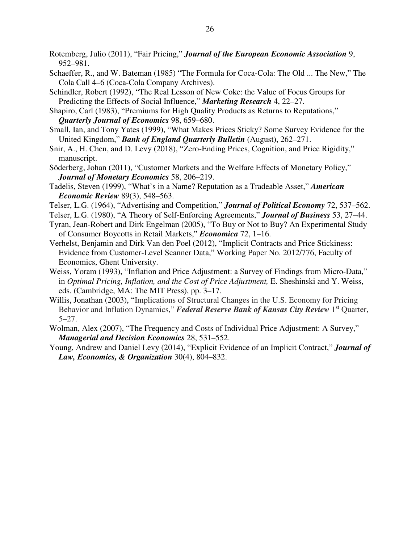- Rotemberg, Julio (2011), "Fair Pricing," *Journal of the European Economic Association* 9, 952–981.
- Schaeffer, R., and W. Bateman (1985) "The Formula for Coca-Cola: The Old ... The New," The Cola Call 4–6 (Coca-Cola Company Archives).
- Schindler, Robert (1992), "The Real Lesson of New Coke: the Value of Focus Groups for Predicting the Effects of Social Influence," *Marketing Research* 4, 22–27.
- Shapiro, Carl (1983), "Premiums for High Quality Products as Returns to Reputations," *Quarterly Journal of Economics* 98, 659–680.
- Small, Ian, and Tony Yates (1999), "What Makes Prices Sticky? Some Survey Evidence for the United Kingdom," *Bank of England Quarterly Bulletin* (August), 262–271.
- Snir, A., H. Chen, and D. Levy (2018), "Zero-Ending Prices, Cognition, and Price Rigidity," manuscript.
- Söderberg, Johan (2011), "Customer Markets and the Welfare Effects of Monetary Policy," *Journal of Monetary Economics* 58, 206–219.
- Tadelis, Steven (1999), "What's in a Name? Reputation as a Tradeable Asset," *American Economic Review* 89(3), 548–563.
- Telser, L.G. (1964), "Advertising and Competition," *Journal of Political Economy* 72, 537–562.
- Telser, L.G. (1980), "A Theory of Self-Enforcing Agreements," *Journal of Business* 53, 27–44.
- Tyran, Jean-Robert and Dirk Engelman (2005), "To Buy or Not to Buy? An Experimental Study of Consumer Boycotts in Retail Markets," *Economica* 72, 1–16.
- Verhelst, Benjamin and Dirk Van den Poel (2012), "Implicit Contracts and Price Stickiness: Evidence from Customer-Level Scanner Data," Working Paper No. 2012/776, Faculty of Economics, Ghent University.
- Weiss, Yoram (1993), "Inflation and Price Adjustment: a Survey of Findings from Micro-Data," in *Optimal Pricing, Inflation, and the Cost of Price Adjustment,* E. Sheshinski and Y. Weiss, eds. (Cambridge, MA: The MIT Press), pp. 3–17.
- Willis, Jonathan (2003), "Implications of Structural Changes in the U.S. Economy for Pricing Behavior and Inflation Dynamics," *Federal Reserve Bank of Kansas City Review* 1<sup>st</sup> Quarter, 5–27.
- Wolman, Alex (2007), "The Frequency and Costs of Individual Price Adjustment: A Survey," *Managerial and Decision Economics* 28, 531–552.
- Young, Andrew and Daniel Levy (2014), "Explicit Evidence of an Implicit Contract," *Journal of Law, Economics, & Organization* 30(4), 804–832.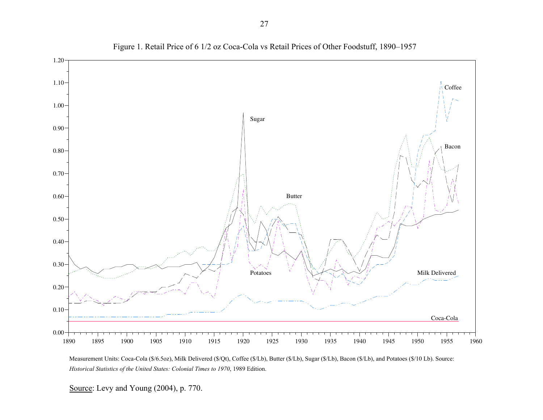

Figure 1. Retail Price of 6 1/2 oz Coca-Cola vs Retail Prices of Other Foodstuff, 1890–1957

Measurement Units: Coca-Cola (\$/6.5oz), Milk Delivered (\$/Qt), Coffee (\$/Lb), Butter (\$/Lb), Sugar (\$/Lb), Bacon (\$/Lb), and Potatoes (\$/10 Lb). Source: *Historical Statistics of the United States: Colonial Times to 1970*, 1989 Edition.

Source: Levy and Young (2004), p. 770.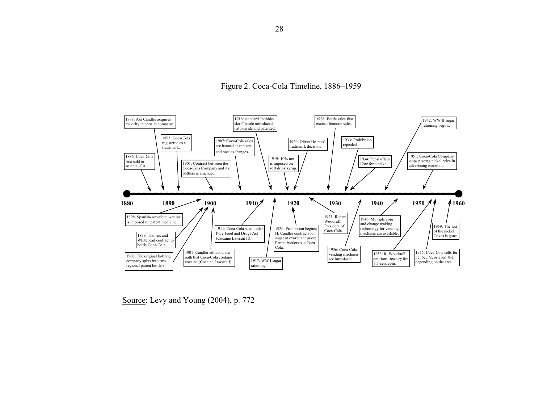



Source: Levy and Young (2004), p. 772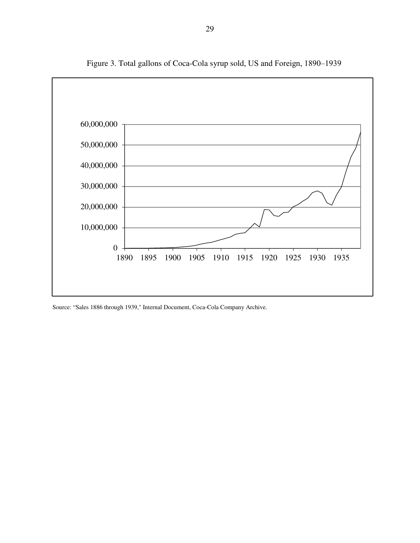

Figure 3. Total gallons of Coca-Cola syrup sold, US and Foreign, 1890-1939

Source: "Sales 1886 through 1939," Internal Document, Coca-Cola Company Archive.